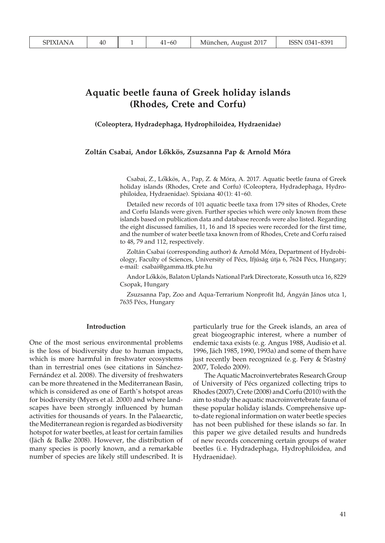# **Aquatic beetle fauna of Greek holiday islands (Rhodes, Crete and Corfu)**

**(Coleoptera, Hydradephaga, Hydrophiloidea, Hydraenidae)**

## **Zoltán Csabai, Andor Lökkös, Zsuzsanna Pap & Arnold Móra**

Csabai, Z., Lökkös, A., Pap, Z. & Móra, A. 2017. Aquatic beetle fauna of Greek holiday islands (Rhodes, Crete and Corfu) (Coleoptera, Hydradephaga, Hydrophiloidea, Hydraenidae). Spixiana 40 (1): 41-60.

Detailed new records of 101 aquatic beetle taxa from 179 sites of Rhodes, Crete and Corfu Islands were given. Further species which were only known from these islands based on publication data and database records were also listed. Regarding the eight discussed families, 11, 16 and 18 species were recorded for the first time, and the number of water beetle taxa known from of Rhodes, Crete and Corfu raised to 48, 79 and 112, respectively.

Zoltán Csabai (corresponding author) & Arnold Móra, Department of Hydrobiology, Faculty of Sciences, University of Pécs, Ifjúság útja 6, 7624 Pécs, Hungary; e-mail: csabai@gamma.ttk.pte.hu

Andor Lökkös, Balaton Uplands National Park Directorate, Kossuth utca 16, 8229 Csopak, Hungary

Zsuzsanna Pap, Zoo and Aqua-Terrarium Nonprofit ltd, Ángyán János utca 1, 7635 Pécs, Hungary

#### **Introduction**

One of the most serious environmental problems is the loss of biodiversity due to human impacts, which is more harmful in freshwater ecosystems than in terrestrial ones (see citations in Sánchez-Fernández et al. 2008). The diversity of freshwaters can be more threatened in the Mediterranean Basin, which is considered as one of Earth's hotspot areas for biodiversity (Myers et al. 2000) and where landscapes have been strongly influenced by human activities for thousands of years. In the Palaearctic, the Mediterranean region is regarded as biodiversity hotspot for water beetles, at least for certain families (Jäch & Balke 2008). However, the distribution of many species is poorly known, and a remarkable number of species are likely still undescribed. It is

particularly true for the Greek islands, an area of great biogeographic interest, where a number of endemic taxa exists (e. g. Angus 1988, Audisio et al. 1996, Jäch 1985, 1990, 1993a) and some of them have just recently been recognized (e. g. Fery & Št'astný 2007, Toledo 2009).

The Aquatic Macroinvertebrates Research Group of University of Pécs organized collecting trips to Rhodes (2007), Crete (2008) and Corfu (2010) with the aim to study the aquatic macroinvertebrate fauna of these popular holiday islands. Comprehensive upto-date regional information on water beetle species has not been published for these islands so far. In this paper we give detailed results and hundreds of new records concerning certain groups of water beetles (i. e. Hydradephaga, Hydrophiloidea, and Hydraenidae).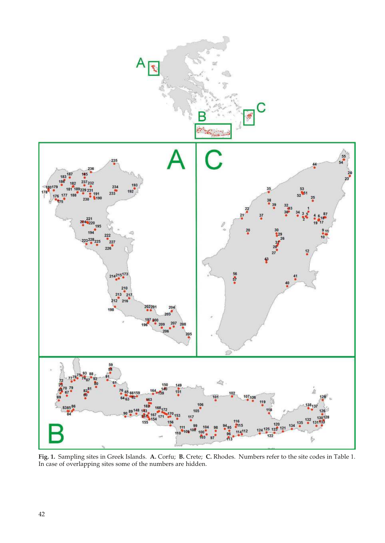

**Fig. 1.** Sampling sites in Greek Islands. **A.** Corfu; **B.** Crete; **C.** Rhodes. Numbers refer to the site codes in Table 1. In case of overlapping sites some of the numbers are hidden.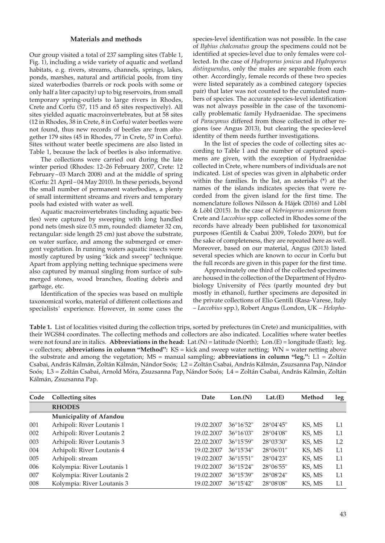## **Materials and methods**

Our group visited a total of 237 sampling sites (Table 1, Fig. 1), including a wide variety of aquatic and wetland habitats, e. g. rivers, streams, channels, springs, lakes, ponds, marshes, natural and artificial pools, from tiny sized waterbodies (barrels or rock pools with some or only half a liter capacity) up to big reservoirs, from small temporary spring-outlets to large rivers in Rhodes, Crete and Corfu (57, 115 and 65 sites respectively). All sites yielded aquatic macroinvertebrates, but at 58 sites (12 in Rhodes, 38 in Crete, 8 in Corfu) water beetles were not found, thus new records of beetles are from altogether 179 sites (45 in Rhodes, 77 in Crete, 57 in Corfu). Sites without water beetle specimens are also listed in Table 1, because the lack of beetles is also informative.

The collections were carried out during the late winter period (Rhodes: 12–26 February 2007, Crete: 12 February – 03 March 2008) and at the middle of spring (Corfu: 21 April – 04 May 2010). In these periods, beyond the small number of permanent waterbodies, a plenty of small intermittent streams and rivers and temporary pools had existed with water as well.

Aquatic macroinvertebrates (including aquatic beetles) were captured by sweeping with long handled pond nets (mesh size 0.5 mm, rounded: diameter 32 cm, rectangular: side length 25 cm) just above the substrate, on water surface, and among the submerged or emergent vegetation. In running waters aquatic insects were mostly captured by using "kick and sweep" technique. Apart from applying netting technique specimens were also captured by manual singling from surface of submerged stones, wood branches, floating debris and garbage, etc.

Identification of the species was based on multiple taxonomical works, material of different collections and specialists' experience. However, in some cases the

species-level identification was not possible. In the case of *Ilybius chalconatus* group the specimens could not be identified at species-level due to only females were collected. In the case of *Hydroporus jonicus* and *Hydroporus distinguendus*, only the males are separable from each other. Accordingly, female records of these two species were listed separately as a combined category (species pair) that later was not counted to the cumulated numbers of species. The accurate species-level identification was not always possible in the case of the taxonomically problematic family Hydraenidae. The specimens of *Paracymus* differed from those collected in other regions (see Angus 2013), but clearing the species-level identity of them needs further investigations.

In the list of species the code of collecting sites according to Table 1 and the number of captured specimens are given, with the exception of Hydraenidae collected in Crete, where numbers of individuals are not indicated. List of species was given in alphabetic order within the families. In the list, an asterisks (\*) at the names of the islands indicates species that were recorded from the given island for the first time. The nomenclature follows Nilsson & Hájek (2016) and Löbl & Löbl (2015). In the case of *Nebrioporus amicorum* from Crete and *Laccobius* spp. collected in Rhodes some of the records have already been published for taxonomical purposes (Gentili & Csabai 2009, Toledo 2009), but for the sake of completeness, they are repeated here as well. Moreover, based on our material, Angus (2013) listed several species which are known to occur in Corfu but the full records are given in this paper for the first time.

Approximately one third of the collected specimens are housed in the collection of the Department of Hydrobiology University of Pécs (partly mounted dry but mostly in ethanol), further specimens are deposited in the private collections of Elio Gentili (Rasa-Varese, Italy – *Laccobius* spp.), Robert Angus (London, UK – *Helopho-*

**Table 1.** List of localities visited during the collection trips, sorted by prefectures (in Crete) and municipalities, with their WGS84 coordinates. The collecting methods and collectors are also indicated. Localities where water beetles were not found are in italics. **Abbreviations in the head:** Lat.(N) = latitude (North); Lon.(E) = longitude (East); leg. = collectors; **abbreviations in column "Method":** KS = kick and sweep water netting; WN = water netting above the substrate and among the vegetation; MS = manual sampling; **abbreviations in column "leg.":** L1 = Zoltán Csabai, András Kálmán, Zoltán Kálmán, Nándor Soós; L2 = Zoltán Csabai, András Kálmán, Zsuzsanna Pap, Nándor Soós; L3 = Zoltán Csabai, Arnold Móra, Zsuzsanna Pap, Nándor Soós; L4 = Zoltán Csabai, András Kálmán, Zoltán Kálmán, Zsuzsanna Pap.

| Code | <b>Collecting sites</b>        | Date       | Lon.(N)             | Lat.(E)             | Method | leg |
|------|--------------------------------|------------|---------------------|---------------------|--------|-----|
|      | <b>RHODES</b>                  |            |                     |                     |        |     |
|      | <b>Municipality of Afandou</b> |            |                     |                     |        |     |
| 001  | Arhipoli: River Loutanis 1     | 19.02.2007 | $36^{\circ}16'52"$  | $28^{\circ}04'45''$ | KS, MS | L1  |
| 002  | Arhipoli: River Loutanis 2     | 19.02.2007 | 36°16'03"           | 28°04'08"           | KS, MS | L1  |
| 003  | Arhipoli: River Loutanis 3     | 22.02.2007 | $36^{\circ}15'59''$ | 28°03'30"           | KS, MS | L2  |
| 004  | Arhipoli: River Loutanis 4     | 19.02.2007 | 36°15'34"           | $28^{\circ}06'01''$ | KS, MS | L1  |
| 005  | Arhipoli: stream               | 19.02.2007 | $36^{\circ}15'51''$ | $28^{\circ}04'23''$ | KS, MS | L1  |
| 006  | Kolympia: River Loutanis 1     | 19.02.2007 | 36°15'24"           | $28^{\circ}06'55"$  | KS, MS | L1  |
| 007  | Kolympia: River Loutanis 2     | 19.02.2007 | 36°15'39"           | 28°08'24"           | KS, MS | L1  |
| 008  | Kolympia: River Loutanis 3     | 19.02.2007 | $36^{\circ}15'42"$  | 28°08'08"           | KS, MS | L1  |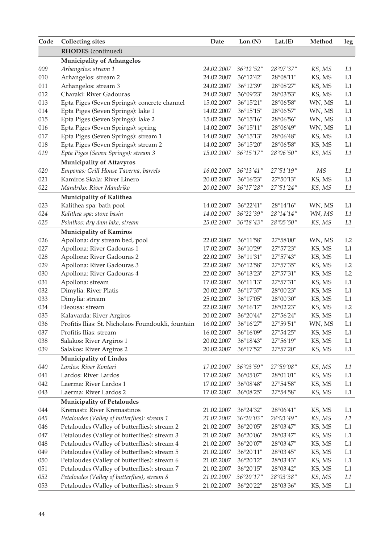| <b>RHODES</b> (continued)<br><b>Municipality of Arhangelos</b><br>009<br>Arhangelos: stream 1<br>24.02.2007<br>36°12'52"<br>28°07'37"<br>KS, MS<br>010<br>Arhangelos: stream 2<br>24.02.2007<br>36°12'42"<br>KS, MS<br>28°08'11"<br>011<br>Arhangelos: stream 3<br>KS, MS<br>24.02.2007<br>36°12'39"<br>28°08'27" | $\mbox{leg}$   |
|-------------------------------------------------------------------------------------------------------------------------------------------------------------------------------------------------------------------------------------------------------------------------------------------------------------------|----------------|
|                                                                                                                                                                                                                                                                                                                   |                |
|                                                                                                                                                                                                                                                                                                                   |                |
|                                                                                                                                                                                                                                                                                                                   | L1             |
|                                                                                                                                                                                                                                                                                                                   | L1             |
|                                                                                                                                                                                                                                                                                                                   | L1             |
| 012<br>Charaki: River Gadouras<br>24.02.2007<br>KS, MS<br>36°09'23"<br>28°03'53"                                                                                                                                                                                                                                  | L1             |
| 013<br>Epta Piges (Seven Springs): concrete channel<br>36°15'21"<br>WN, MS<br>15.02.2007<br>28°06'58"                                                                                                                                                                                                             | L1             |
| 014<br>Epta Piges (Seven Springs): lake 1<br>WN, MS<br>14.02.2007<br>$36^{\circ}15'15''$<br>28°06'57"                                                                                                                                                                                                             | L1             |
| 015<br>Epta Piges (Seven Springs): lake 2<br>15.02.2007<br>$36^{\circ}15'16''$<br>28°06'56"<br>WN, MS                                                                                                                                                                                                             | L1             |
| 016<br>Epta Piges (Seven Springs): spring<br>14.02.2007<br>36°15'11"<br>28°06'49"<br>WN, MS                                                                                                                                                                                                                       | L1             |
| 017<br>Epta Piges (Seven Springs): stream 1<br>36°15'13"<br>14.02.2007<br>28°06'48"<br>KS, MS                                                                                                                                                                                                                     | L1             |
| 018<br>KS, MS<br>Epta Piges (Seven Springs): stream 2<br>14.02.2007<br>$36^{\circ}15'20''$<br>28°06'58"                                                                                                                                                                                                           | L1             |
| $019\,$<br>Epta Piges (Seven Springs): stream 3<br>15.02.2007<br>$36^{\circ}15'17''$<br>28°06'50"<br>KS, MS                                                                                                                                                                                                       | L1             |
| <b>Municipality of Attavyros</b>                                                                                                                                                                                                                                                                                  |                |
| 020<br>Emponas: Grill House Taverna, barrels<br>36°13'41"<br>27°51'19"<br>МS<br>16.02.2007                                                                                                                                                                                                                        | L1             |
| 021<br>Kamiros Skala: River Linero<br>20.02.2007<br>36°16'23"<br>27°50'13"<br>KS, MS                                                                                                                                                                                                                              | L1             |
| 022<br>Mandriko: River Mandriko<br>20.02.2007<br>36°17'28″<br>27°51′24″<br>KS, MS                                                                                                                                                                                                                                 | L1             |
| Municipality of Kalithea                                                                                                                                                                                                                                                                                          |                |
| 023<br>36°22'41"<br>Kalithea spa: bath pool<br>14.02.2007<br>28°14'16"<br>WN, MS                                                                                                                                                                                                                                  | L1             |
| 024<br>Kalithea spa: stone basin<br>14.02.2007<br>36°22'39"<br>28°14'14"<br>WN, MS                                                                                                                                                                                                                                | L1             |
| 025<br>Psinthos: dry dam lake, stream<br>25.02.2007<br>36°18'43"<br>$28^{\circ}05'50''$<br>KS, MS                                                                                                                                                                                                                 | L1             |
| <b>Municipality of Kamiros</b>                                                                                                                                                                                                                                                                                    |                |
| 026<br>Apollona: dry stream bed, pool<br>36°11'58"<br>WN, MS<br>22.02.2007<br>27°58'00"                                                                                                                                                                                                                           | L <sub>2</sub> |
| 027<br>Apollona: River Gadouras 1<br>KS, MS<br>17.02.2007<br>$36^{\circ}10'29"$<br>27°57'23"                                                                                                                                                                                                                      | L1             |
| 028<br>Apollona: River Gadouras 2<br>36°11'31"<br>KS, MS<br>22.02.2007<br>27°57'43"                                                                                                                                                                                                                               | L1             |
| 029<br>Apollona: River Gadouras 3<br>27°57'35"<br>KS, MS<br>22.02.2007<br>36°12'58"                                                                                                                                                                                                                               | L <sub>2</sub> |
| 030<br>Apollona: River Gadouras 4<br>36°13'23"<br>27°57'31"<br>KS, MS<br>22.02.2007                                                                                                                                                                                                                               | L2             |
| 031<br>27°57'31"<br>KS, MS<br>Apollona: stream<br>17.02.2007<br>36°11'13"                                                                                                                                                                                                                                         | L1             |
| 032<br>Dimylia: River Platis<br>36°17'37"<br>KS, MS<br>20.02.2007<br>28°00'23"                                                                                                                                                                                                                                    | L1             |
| 033<br>25.02.2007<br>36°17'05"<br>KS, MS<br>Dimylia: stream<br>28°00'30"                                                                                                                                                                                                                                          | L1             |
| 034<br>Eleousa: stream<br>KS, MS<br>22.02.2007<br>$36^{\circ}16'17''$<br>28°02'23"                                                                                                                                                                                                                                | L2             |
| 035<br>Kalavarda: River Argiros<br>20.02.2007<br>36°20'44"<br>27°56'24"<br>KS, MS                                                                                                                                                                                                                                 | L1             |
| 036<br>Profitis Ilias: St. Nicholaos Foundoukli, fountain<br>36°16'27"<br>16.02.2007<br>27°59'51"<br>WN, MS                                                                                                                                                                                                       | L1             |
| 037<br>Profitis Ilias: stream<br>27°54'25"<br>KS, MS<br>16.02.2007<br>36°16'09"                                                                                                                                                                                                                                   | L1             |
| 038<br>Salakos: River Argiros 1<br>27°56'19"<br>20.02.2007<br>$36^{\circ}18'43''$<br>KS, MS                                                                                                                                                                                                                       | L1             |
| 039<br>Salakos: River Argiros 2<br>20.02.2007<br>36°17'52"<br>27°57'20"<br>KS, MS                                                                                                                                                                                                                                 | L1             |
| Municipality of Lindos                                                                                                                                                                                                                                                                                            |                |
| Lardos: River Kontari<br>040<br>17.02.2007<br>36°03'59"<br>27°59′08″<br>KS, MS                                                                                                                                                                                                                                    | L1             |
| 041<br>Lardos: River Lardos<br>17.02.2007<br>36°05'07"<br>KS, MS<br>28°01'01"                                                                                                                                                                                                                                     | L1             |
| 042<br>Laerma: River Lardos 1<br>17.02.2007<br>36°08'48"<br>27°54'58"<br>KS, MS                                                                                                                                                                                                                                   | L1             |
| 043<br>36°08'25"<br>27°54'58"<br>KS, MS<br>Laerma: River Lardos 2<br>17.02.2007                                                                                                                                                                                                                                   | L1             |
| <b>Municipality of Petaloudes</b>                                                                                                                                                                                                                                                                                 |                |
| Kremasti: River Kremastinos<br>044<br>KS, MS<br>21.02.2007<br>36°24'32"<br>28°06'41"                                                                                                                                                                                                                              | L1             |
| $045\,$<br>Petaloudes (Valley of butterflies): stream 1<br>KS, MS<br>21.02.2007<br>36°20'03"<br>28°03'49"                                                                                                                                                                                                         | L1             |
| 046<br>Petaloudes (Valley of butterflies): stream 2<br>36°20'05"<br>KS, MS<br>21.02.2007<br>28°03'47"                                                                                                                                                                                                             | L1             |
| 047<br>Petaloudes (Valley of butterflies): stream 3<br>36°20'06"<br>KS, MS<br>21.02.2007<br>28°03'47"                                                                                                                                                                                                             | L1             |
| Petaloudes (Valley of butterflies): stream 4<br>KS, MS<br>048<br>36°20'07"<br>21.02.2007<br>28°03'47"                                                                                                                                                                                                             | L1             |
| 049<br>Petaloudes (Valley of butterflies): stream 5<br>KS, MS<br>36°20'11"<br>21.02.2007<br>28°03'45"                                                                                                                                                                                                             | L1             |
| $050\,$<br>Petaloudes (Valley of butterflies): stream 6<br>KS, MS<br>21.02.2007<br>36°20'12"<br>28°03'43"                                                                                                                                                                                                         | L1             |
| $051\,$<br>Petaloudes (Valley of butterflies): stream 7<br>KS, MS<br>21.02.2007<br>36°20'15"<br>28°03'42"                                                                                                                                                                                                         | L1             |
| 052<br>Petaloudes (Valley of butterflies), stream 8<br>21.02.2007<br>36°20'17"<br>28°03'38"<br>KS, MS                                                                                                                                                                                                             | L1             |
| 053<br>Petaloudes (Valley of butterflies): stream 9<br>21.02.2007<br>36°20'22"<br>28°03'36"<br>KS, MS                                                                                                                                                                                                             | L1             |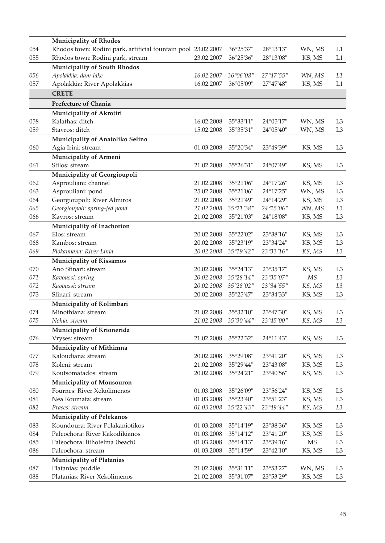|     | <b>Municipality of Rhodos</b>                                 |            |                                          |                     |                        |                |
|-----|---------------------------------------------------------------|------------|------------------------------------------|---------------------|------------------------|----------------|
| 054 | Rhodos town: Rodini park, artificial fountain pool 23.02.2007 |            | 36°25'37"                                | 28°13'13"           | WN, MS                 | L1             |
| 055 | Rhodos town: Rodini park, stream                              | 23.02.2007 | 36°25'36"                                | 28°13'08"           | KS, MS                 | L1             |
|     | <b>Municipality of South Rhodos</b>                           |            |                                          |                     |                        |                |
| 056 | Apolakkia: dam-lake                                           | 16.02.2007 | $36^{\circ}06'08''$                      | 27°47′55″           | WN, MS                 | L1             |
| 057 | Apolakkia: River Apolakkias                                   | 16.02.2007 | 36°05'09"                                | 27°47'48"           | KS, MS                 | L1             |
|     | <b>CRETE</b>                                                  |            |                                          |                     |                        |                |
|     | Prefecture of Chania                                          |            |                                          |                     |                        |                |
|     | Municipality of Akrotiri                                      |            |                                          |                     |                        |                |
| 058 | Kalathas: ditch                                               | 16.02.2008 | 35°33'11"                                | $24^{\circ}05'17''$ | WN, MS                 | L3             |
| 059 | Stavros: ditch                                                | 15.02.2008 | 35°35'31"                                | 24°05'40"           | WN, MS                 | L3             |
|     | Municipality of Anatoliko Selino                              |            |                                          |                     |                        |                |
| 060 | Agia Irini: stream                                            | 01.03.2008 | 35°20'34"                                | 23°49'39"           | KS, MS                 | L3             |
|     | Municipality of Armeni                                        |            |                                          |                     |                        |                |
| 061 | Stilos: stream                                                | 21.02.2008 | $35^{\circ}26'31''$                      | $24^{\circ}07'49''$ | KS, MS                 | L3             |
|     | Municipality of Georgioupoli                                  |            |                                          |                     |                        |                |
| 062 | Asprouliani: channel                                          | 21.02.2008 | 35°21'06"                                | $24^{\circ}17'26''$ | KS, MS                 | L3             |
| 063 | Asprouliani: pond                                             | 25.02.2008 | 35°21'06"                                | $24^{\circ}17'25"$  | WN, MS                 | L3             |
| 064 | Georgioupoli: River Almiros                                   | 21.02.2008 | 35°21'49"                                | $24^{\circ}14'29''$ | KS, MS                 | L3             |
| 065 | Georgioupoli: spring-fed pond                                 | 21.02.2008 | 35°21'38"                                | 24°15'06"           | WN, MS                 | L3             |
| 066 | Kavros: stream                                                | 21.02.2008 | 35°21'03"                                | 24°18'08"           | KS, MS                 | L3             |
|     | Municipality of Inachorion                                    |            |                                          |                     |                        |                |
| 067 | Elos: stream                                                  | 20.02.2008 | $35^{\circ}22'02"$                       | 23°38'16"           | KS, MS                 | L3             |
| 068 | Kambos: stream                                                | 20.02.2008 | 35°23'19"                                | 23°34'24"           | KS, MS                 | L3             |
| 069 | Plokamiana: River Linia                                       | 20.02.2008 | $35^{\circ}19'42''$                      | 23°33'16"           | KS, MS                 | L <sub>3</sub> |
|     | <b>Municipality of Kissamos</b>                               |            |                                          |                     |                        |                |
| 070 | Ano Sfinari: stream                                           | 20.02.2008 | 35°24'13"                                | 23°35'17"           | KS, MS                 | L3             |
| 071 | Kavoussi: spring                                              | 20.02.2008 | $35^{\circ}28^{\prime}14^{\prime\prime}$ | 23°35′07″           | МS                     | L3             |
| 072 | Kavoussi: stream                                              | 20.02.2008 | 35°28'02"                                | 23°34'55"           | KS, MS                 | L3             |
| 073 | Sfinari: stream                                               | 20.02.2008 | 35°25'47"                                | 23°34'33"           | KS, MS                 | L3             |
|     | Municipality of Kolimbari                                     |            |                                          |                     |                        |                |
| 074 | Minothiana: stream                                            | 21.02.2008 | $35^{\circ}32'10''$                      | 23°47'30"           | KS, MS                 | L3             |
| 075 | Nohia: stream                                                 | 21.02.2008 | 35°30'44"                                | 23°45′00″           | KS, MS                 | L3             |
|     | Municipality of Krionerida                                    |            |                                          |                     |                        |                |
| 076 | Vryses: stream                                                | 21.02.2008 | 35°22'32"                                | $24^{\circ}11'43''$ | KS, MS                 | L3             |
|     | Municipality of Mithimna                                      |            |                                          |                     |                        |                |
| 077 | Kaloudiana: stream                                            | 20.02.2008 | 35°29'08"                                | 23°41'20"           | KS, MS                 | L3             |
| 078 | Koleni: stream                                                | 21.02.2008 | 35°29'44"                                | 23°43'08"           | KS, MS                 | L3             |
| 079 | Koutsomatados: stream                                         | 20.02.2008 | 35°24'21"                                | $23^{\circ}40'56"$  | KS, MS                 | L3             |
|     | <b>Municipality of Mousouron</b>                              |            |                                          |                     |                        |                |
| 080 | Fournes: River Xekolimenos                                    | 01.03.2008 | 35°26'09"                                | 23°56'24"           | KS, MS                 | L3             |
| 081 | Nea Roumata: stream                                           | 01.03.2008 | 35°23'40"                                | 23°51'23"           | KS, MS                 | L3             |
| 082 | Prases: stream                                                | 01.03.2008 | 35°22'43"                                | 23°49'44"           | KS, MS                 | L3             |
|     | <b>Municipality of Pelekanos</b>                              |            |                                          |                     |                        |                |
| 083 | Koundoura: River Pelakaniotikos                               | 01.03.2008 | 35°14'19"                                | 23°38'36"           | KS, MS                 | L3             |
| 084 | Paleochora: River Kakodikianos                                | 01.03.2008 | 35°14'12"                                | 23°41'20"           | KS, MS                 | L <sub>3</sub> |
| 085 | Paleochora: lithotelma (beach)                                | 01.03.2008 | 35°14'13"                                | 23°39'16"           | $\overline{\text{MS}}$ | L <sub>3</sub> |
| 086 | Paleochora: stream                                            | 01.03.2008 | 35°14'59"                                | 23°42'10"           | KS, MS                 | L3             |
|     | Municipality of Platanias                                     |            |                                          |                     |                        |                |
| 087 | Platanias: puddle                                             | 21.02.2008 | 35°31'11"                                | 23°53'27"           | WN, MS                 | L3             |
| 088 | Platanias: River Xekolimenos                                  | 21.02.2008 | 35°31'07"                                | 23°53'29"           | KS, MS                 | L3             |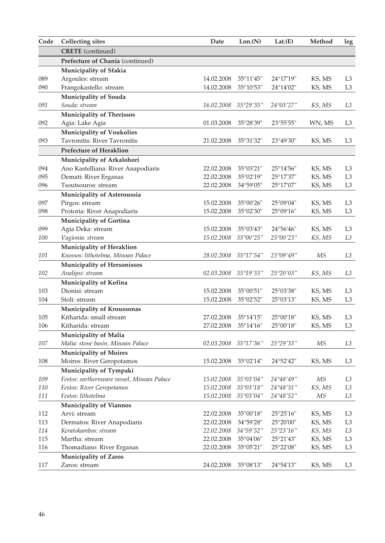| Code | <b>Collecting sites</b>                    | Date       | Lon.(N)             | Lat.(E)             | Method | leg            |
|------|--------------------------------------------|------------|---------------------|---------------------|--------|----------------|
|      | <b>CRETE</b> (continued)                   |            |                     |                     |        |                |
|      | Prefecture of Chania (continued)           |            |                     |                     |        |                |
|      | Municipality of Sfakia                     |            |                     |                     |        |                |
| 089  | Argoules: stream                           | 14.02.2008 | 35°11'45"           | 24°17'19"           | KS, MS | L3             |
| 090  | Frangokastello: stream                     | 14.02.2008 | 35°10'53"           | 24°14'02"           | KS, MS | L3             |
|      | Municipality of Souda                      |            |                     |                     |        |                |
| 091  | Souda: stream                              | 16.02.2008 | 35°29'35"           | 24°03′27″           | KS, MS | L3             |
|      | <b>Municipality of Therissos</b>           |            |                     |                     |        |                |
| 092  | Agia: Lake Agia                            | 01.03.2008 | 35°28'39"           | 23°55'55"           | WN, MS | L3             |
|      | <b>Municipality of Voukolies</b>           |            |                     |                     |        |                |
| 093  | <b>Tayronitis: River Tayronitis</b>        | 21.02.2008 | 35°31'32"           | 23°49'30"           | KS, MS | L3             |
|      | <b>Prefecture of Heraklion</b>             |            |                     |                     |        |                |
|      | Municipality of Arkalohori                 |            |                     |                     |        |                |
| 094  | Ano Kastelliana: River Anapodiaris         | 22.02.2008 | $35^{\circ}03'21''$ | $25^{\circ}14'56''$ | KS, MS | L <sub>3</sub> |
| 095  | Demati: River Erganas                      | 22.02.2008 | 35°02'19"           | 25°17'37"           | KS, MS | L3             |
| 096  | Tsoutsouros: stream                        | 22.02.2008 | 34°59'05"           | 25°17'07"           | KS, MS | L3             |
|      | Municipality of Asteroussia                |            |                     |                     |        |                |
| 097  | Pirgos: stream                             | 15.02.2008 | 35°00'26"           | 25°09'04"           | KS, MS | L3             |
| 098  | Protoria: River Anapodiaris                | 15.02.2008 | 35°02'30"           | $25^{\circ}09'16''$ | KS, MS | L3             |
|      | Municipality of Gortina                    |            |                     |                     |        |                |
| 099  | Agia Deka: stream                          | 15.02.2008 | 35°03'43"           | $24^{\circ}56'46''$ | KS, MS | L3             |
| 100  | Vagionia: stream                           | 15.02.2008 | 35°00'25"           | 25°00'23"           | KS, MS | L3             |
|      | Municipality of Heraklion                  |            |                     |                     |        |                |
| 101  | Knossos: lithotelma, Minoan Palace         | 28.02.2008 | 35°17'54"           | $25^{\circ}09'49''$ | МS     | L3             |
|      | Municipality of Hersonissos                |            |                     |                     |        |                |
| 102  | Analipsi: stream                           | 02.03.2008 | $35^{\circ}$ 19'33" | $25^{\circ}20'03''$ | KS, MS | L3             |
|      | Municipality of Kofina                     |            |                     |                     |        |                |
| 103  | Dionisi: stream                            | 15.02.2008 | $35^{\circ}00'51"$  | $25^{\circ}03'38"$  | KS, MS | L3             |
| 104  | Stoli: stream                              | 15.02.2008 | $35^{\circ}02'52"$  | 25°03'13"           | KS, MS | L3             |
|      | Municipality of Kroussonas                 |            |                     |                     |        |                |
| 105  | Kitharida: small stream                    | 27.02.2008 | $35^{\circ}14'15''$ | $25^{\circ}00'18"$  | KS, MS | L3             |
| 106  | Kitharida: stream                          | 27.02.2008 | 35°14'16"           | 25°00'18"           | KS, MS | L3             |
|      | Municipality of Malia                      |            |                     |                     |        |                |
| 107  | Malia: stone basin, Minoan Palace          | 02.03.2008 | 35°17'36"           | 25°29'33"           | МS     | L3             |
|      | Municipality of Moires                     |            |                     |                     |        |                |
| 108  | Moires: River Geropotamos                  | 15.02.2008 | $35^{\circ}02'14"$  | 24°52'42"           | KS, MS | L3             |
|      | Municipality of Tympaki                    |            |                     |                     |        |                |
| 109  | Festos: earthernware vessel, Minoan Palace | 15.02.2008 | $35^{\circ}03'04''$ | 24°48'49"           | МS     | L3             |
| 110  | Festos: River Geropotamos                  | 15.02.2008 | 35°03'18"           | 24°48'31″           | KS, MS | L3             |
| 111  | Festos: lithotelma                         | 15.02.2008 | 35°03'04"           | 24°48'52            | МS     | L3             |
|      | <b>Municipality of Viannos</b>             |            |                     |                     |        |                |
| 112  | Arvi: stream                               | 22.02.2008 | 35°00'18"           | 25°25'16"           | KS, MS | L <sub>3</sub> |
| 113  | Dermatos: River Anapodiaris                | 22.02.2008 | 34°59'28"           | 25°20'00"           | KS, MS | L <sub>3</sub> |
| 114  | Keratokambos: stream                       | 22.02.2008 | 34°59'52"           | 25°23'16"           | KS, MS | L3             |
| 115  | Martha: stream                             | 22.02.2008 | $35^{\circ}04'06"$  | $25^{\circ}21'43''$ | KS, MS | L <sub>3</sub> |
| 116  | Thomadiano: River Erganas                  | 22.02.2008 | 35°05'21"           | 25°22'08"           | KS, MS | L3             |
|      | Municipality of Zaros                      |            |                     |                     |        |                |
| 117  | Zaros: stream                              | 24.02.2008 | 35°08'13"           | 24°54'13"           | KS, MS | L <sub>3</sub> |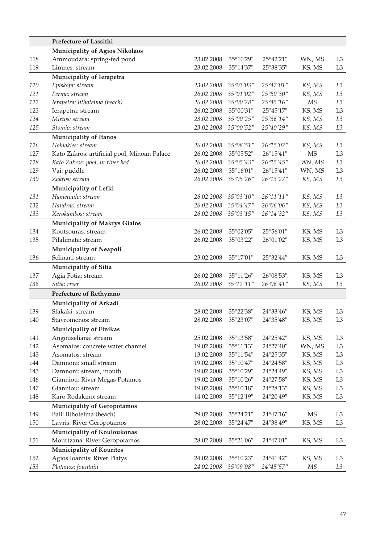|     | Prefecture of Lassithi                      |            |                     |                     |        |                |
|-----|---------------------------------------------|------------|---------------------|---------------------|--------|----------------|
|     | Municipality of Agios Nikolaos              |            |                     |                     |        |                |
| 118 | Ammoudara: spring-fed pond                  | 23.02.2008 | 35°10'29"           | $25^{\circ}42'21''$ | WN, MS | L3             |
| 119 | Limnes: stream                              | 23.02.2008 | 35°14'37"           | 25°38'35"           | KS, MS | L3             |
|     | Municipality of Ierapetra                   |            |                     |                     |        |                |
| 120 | Episkopi: stream                            | 23.02.2008 | 35°03′03″           | $25^{\circ}47'01''$ | KS, MS | L3             |
| 121 | Ferma: stream                               | 26.02.2008 | $35^{\circ}01'02''$ | 25°50'30"           | KS, MS | L3             |
| 122 | Ierapetra: lithotelma (beach)               | 26.02.2008 | $35^{\circ}00'28''$ | 25°45'16"           | МS     | L3             |
| 123 | Ierapetra: stream                           | 26.02.2008 | 35°00'31"           | $25^{\circ}45'17''$ | KS, MS | L <sub>3</sub> |
| 124 | Mirtos: stream                              | 23.02.2008 | 35°00'25"           | $25^{\circ}36'14''$ | KS, MS | L3             |
| 125 | Stomio: stream                              | 23.02.2008 | 35°00'52"           | 25°40′29″           | KS, MS | L3             |
|     | <b>Municipality of Itanos</b>               |            |                     |                     |        |                |
| 126 | Hohlakies: stream                           | 26.02.2008 | $35^{\circ}08'51''$ | 26°15'02"           | KS, MS | L3             |
| 127 | Kato Zakros: artificial pool, Minoan Palace | 26.02.2008 | $35^{\circ}05'52"$  | $26^{\circ}15'41''$ | MS     | L <sub>3</sub> |
| 128 | Kato Zakros: pool, in river bed             | 26.02.2008 | $35^{\circ}05'43''$ | $26^{\circ}15'45''$ | WN, MS | L3             |
| 129 | Vai: puddle                                 | 26.02.2008 | $35^{\circ}16'01"$  | $26^{\circ}15'41''$ | WN, MS | L3             |
| 130 | Zakros: stream                              | 26.02.2008 | $35^{\circ}05'26''$ | 26°13′27″           | KS, MS | L3             |
|     | Municipality of Lefki                       |            |                     |                     |        |                |
| 131 | Hametoulo: stream                           | 26.02.2008 | $35^{\circ}03'10''$ | 26°11′11″           | KS, MS | L3             |
| 132 | Handras: stream                             | 26.02.2008 | $35^{\circ}04'47''$ | $26^{\circ}06'06''$ | KS, MS | L3             |
| 133 | Xerokambos: stream                          | 26.02.2008 | $35^{\circ}03'15''$ | 26°14′32″           | KS, MS | L3             |
|     | <b>Municipality of Makrys Gialos</b>        |            |                     |                     |        |                |
| 134 | Koutsouras: stream                          | 26.02.2008 | 35°02'05"           | $25^{\circ}56'01"$  | KS, MS | L <sub>3</sub> |
| 135 | Pilalimata: stream                          | 26.02.2008 | 35°03'22"           | 26°01'02"           | KS, MS | L3             |
|     |                                             |            |                     |                     |        |                |
| 136 | Municipality of Neapoli<br>Selinari: stream | 23.02.2008 |                     |                     | KS, MS |                |
|     |                                             |            | $35^{\circ}17'01''$ | 25°32'44"           |        | L3             |
|     | Municipality of Sitia                       |            |                     |                     |        |                |
| 137 | Agia Fotia: stream                          | 26.02.2008 | $35^{\circ}11'26''$ | $26^{\circ}08'53"$  | KS, MS | L3             |
| 138 | Sitia: river                                | 26.02.2008 | $35^{\circ}12'11''$ | 26°06′41″           | KS, MS | L3             |
|     | Prefecture of Rethymno                      |            |                     |                     |        |                |
|     | Municipality of Arkadi                      |            |                     |                     |        |                |
| 139 | Sfakaki: stream                             | 28.02.2008 | $35^{\circ}22'38''$ | 24°33'46"           | KS, MS | L3             |
| 140 | Stavromenos: stream                         | 28.02.2008 | 35°23'07"           | 24°35'48"           | KS, MS | L3             |
|     | Municipality of Finikas                     |            |                     |                     |        |                |
| 141 | Angouseliana: stream                        | 25.02.2008 | 35°13'58"           | 24°25'42"           | KS, MS | L3             |
| 142 | Asomatos: concrete water channel            | 19.02.2008 | 35°11'13"           | 24°27'40"           | WN, MS | L3             |
| 143 | Asomatos: stream                            | 13.02.2008 | 35°11'54"           | 24°25'35"           | KS, MS | L3             |
| 144 | Damnoni: small stream                       | 19.02.2008 | 35°10'47"           | 24°24'58"           | KS, MS | L3             |
| 145 | Damnoni: stream, mouth                      | 19.02.2008 | 35°10'29"           | 24°24'49"           | KS, MS | L <sub>3</sub> |
| 146 | Gianniou: River Megas Potamos               | 19.02.2008 | 35°10'26"           | 24°27'58"           | KS, MS | L <sub>3</sub> |
| 147 | Gianniou: stream                            | 19.02.2008 | 35°10'18"           | 24°28'13"           | KS, MS | L <sub>3</sub> |
| 148 | Karo Rodakino: stream                       | 14.02.2008 | 35°12'19"           | 24°20'49'           | KS, MS | $\rm L3$       |
|     | <b>Municipality of Geropotamos</b>          |            |                     |                     |        |                |
| 149 | Bali: lithotelma (beach)                    | 29.02.2008 | 35°24'21"           | 24°47'16"           | MS     | L3             |
| 150 | Lavris: River Geropotamos                   | 28.02.2008 | 35°24'47"           | 24°38'49"           | KS, MS | L3             |
|     | Municipality of Kouloukonas                 |            |                     |                     |        |                |
| 151 | Mourtzana: River Geropotamos                | 28.02.2008 | 35°21'06"           | 24°47'01"           | KS, MS | L <sub>3</sub> |
|     | <b>Municipality of Kourites</b>             |            |                     |                     |        |                |
| 152 | Agios Ioannis: River Platys                 | 24.02.2008 | 35°10'23"           | 24°41'42"           | KS, MS | L <sub>3</sub> |
| 153 | Platanos: fountain                          | 24.02.2008 | 35°09'08"           | 24°45'57"           | МS     | L3             |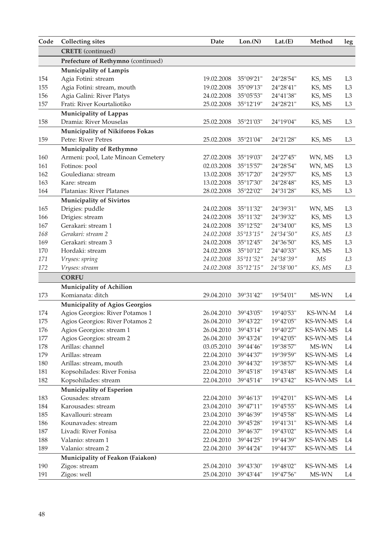| Code | <b>Collecting sites</b>               | Date       | Lon.(N)             | Lat.(E)            | Method   | $\boldsymbol{\mathop{\text{leg}}\nolimits}$ |
|------|---------------------------------------|------------|---------------------|--------------------|----------|---------------------------------------------|
|      | <b>CRETE</b> (continued)              |            |                     |                    |          |                                             |
|      | Prefecture of Rethymno (continued)    |            |                     |                    |          |                                             |
|      | Municipality of Lampis                |            |                     |                    |          |                                             |
| 154  | Agia Fotini: stream                   | 19.02.2008 | 35°09'21"           | 24°28'54"          | KS, MS   | L3                                          |
| 155  | Agia Fotini: stream, mouth            | 19.02.2008 | 35°09'13"           | 24°28'41"          | KS, MS   | L <sub>3</sub>                              |
| 156  | Agia Galini: River Platys             | 24.02.2008 | 35°05'53"           | 24°41'38"          | KS, MS   | L3                                          |
| 157  | Frati: River Kourtaliotiko            | 25.02.2008 | 35°12'19"           | 24°28'21"          | KS, MS   | L <sub>3</sub>                              |
|      | <b>Municipality of Lappas</b>         |            |                     |                    |          |                                             |
| 158  | Dramia: River Mouselas                | 25.02.2008 | 35°21'03"           | 24°19'04"          | KS, MS   | L3                                          |
|      | Municipality of Nikiforos Fokas       |            |                     |                    |          |                                             |
| 159  | Petre: River Petres                   | 25.02.2008 | 35°21'04"           | 24°21'28"          | KS, MS   | L3                                          |
|      | Municipality of Rethymno              |            |                     |                    |          |                                             |
| 160  | Armeni: pool, Late Minoan Cemetery    | 27.02.2008 | 35°19'03"           | $24^{\circ}27'45"$ | WN, MS   | L3                                          |
| 161  | Fotinos: pool                         | 02.03.2008 | $35^{\circ}15'57''$ | 24°28'54"          | WN, MS   | L <sub>3</sub>                              |
| 162  | Goulediana: stream                    | 13.02.2008 | 35°17'20"           | 24°29'57"          | KS, MS   | L3                                          |
| 163  | Kare: stream                          | 13.02.2008 | 35°17'30"           | 24°28'48"          | KS, MS   | L <sub>3</sub>                              |
| 164  | Platanias: River Platanes             | 28.02.2008 | 35°22'02"           | 24°31'28"          | KS, MS   | L3                                          |
|      | Municipality of Sivirtos              |            |                     |                    |          |                                             |
| 165  | Drigies: puddle                       | 24.02.2008 | 35°11'32"           | 24°39'31"          | WN, MS   | L <sub>3</sub>                              |
| 166  | Drigies: stream                       | 24.02.2008 | 35°11'32"           | 24°39'32"          | KS, MS   | L3                                          |
| 167  | Gerakari: stream 1                    | 24.02.2008 | 35°12'52"           | 24°34'00"          | KS, MS   | L <sub>3</sub>                              |
| 168  | Gerakari: stream 2                    | 24.02.2008 | 35°13'15"           | 24°34′50″          | KS, MS   | L3                                          |
| 169  | Gerakari: stream 3                    | 24.02.2008 | $35^{\circ}12'45''$ | 24°36'50"          | KS, MS   | L <sub>3</sub>                              |
| 170  | Hordaki: stream                       | 24.02.2008 | $35^{\circ}10'12"$  | 24°40'33"          | KS, MS   | L <sub>3</sub>                              |
| 171  | Vryses: spring                        | 24.02.2008 | 35°11'52"           | 24°38′39″          | MS       | L3                                          |
| 172  | Vryses: stream                        | 24.02.2008 | $35^{\circ}$ 12'15" | 24°38′00″          | KS, MS   | L3                                          |
|      | <b>CORFU</b>                          |            |                     |                    |          |                                             |
|      | Municipality of Achilion              |            |                     |                    |          |                                             |
| 173  | Komianata: ditch                      | 29.04.2010 | 39°31'42"           | 19°54'01"          | MS-WN    | L4                                          |
|      | <b>Municipality of Agios Georgios</b> |            |                     |                    |          |                                             |
| 174  | Agios Georgios: River Potamos 1       | 26.04.2010 | 39°43'05"           | 19°40'53"          | KS-WN-M  | L4                                          |
| 175  | Agios Georgios: River Potamos 2       | 26.04.2010 | 39°43'22"           | 19°42'05"          | KS-WN-MS | L4                                          |
| 176  | Agios Georgios: stream 1              | 26.04.2010 | 39°43'14"           | 19°40'27"          | KS-WN-MS | L4                                          |
| 177  | Agios Georgios: stream 2              | 26.04.2010 | 39°43'24"           | 19°42'05"          | KS-WN-MS | L <sub>4</sub>                              |
| 178  | Arillas: channel                      | 03.05.2010 | 39°44'46"           | 19°38'57"          | MS-WN    | L4                                          |
| 179  | Arillas: stream                       | 22.04.2010 | 39°44'37"           | 19°39'59"          | KS-WN-MS | L4                                          |
| 180  | Arillas: stream, mouth                | 23.04.2010 | 39°44'32"           | 19°38'57"          | KS-WN-MS | L4                                          |
| 181  | Kopsohilades: River Fonisa            | 22.04.2010 | 39°45'18"           | 19°43'48"          | KS-WN-MS | L <sub>4</sub>                              |
| 182  | Kopsohilades: stream                  | 22.04.2010 | 39°45'14"           | 19°43'42"          | KS-WN-MS | L4                                          |
|      | Municipality of Esperion              |            |                     |                    |          |                                             |
| 183  | Gousades: stream                      | 22.04.2010 | 39°46'13"           | $19^{\circ}42'01"$ | KS-WN-MS | L4                                          |
| 184  | Karousades: stream                    | 23.04.2010 | 39°47'11"           | $19^{\circ}45'55"$ | KS-WN-MS | L4                                          |
| 185  | Kavallouri: stream                    | 23.04.2010 | 39°46'39"           | $19^{\circ}45'58"$ | KS-WN-MS | L4                                          |
| 186  | Kounavades: stream                    | 22.04.2010 | 39°45'28"           | 19°41'31"          | KS-WN-MS | L4                                          |
| 187  | Livadi: River Fonisa                  | 22.04.2010 | 39°46'37"           | 19°43'02"          | KS-WN-MS | L4                                          |
| 188  | Valanio: stream 1                     | 22.04.2010 | 39°44'25"           | 19°44'39"          | KS-WN-MS | L4                                          |
| 189  | Valanio: stream 2                     | 22.04.2010 | 39°44'24"           | 19°44'37"          | KS-WN-MS | L4                                          |
|      | Municipality of Feakon (Faiakon)      |            |                     |                    |          |                                             |
| 190  | Zigos: stream                         | 25.04.2010 | 39°43'30"           | 19°48'02"          | KS-WN-MS | L4                                          |
| 191  | Zigos: well                           | 25.04.2010 | 39°43'44"           | 19°47'56"          | MS-WN    | L4                                          |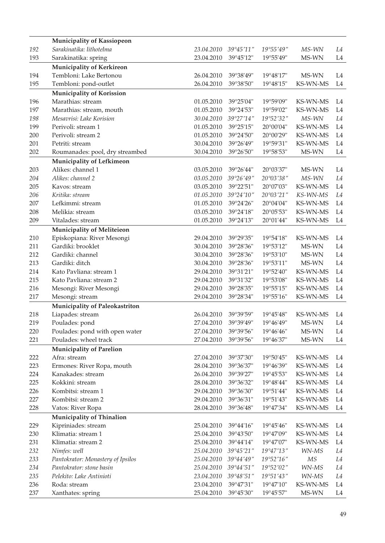|     | Municipality of Kassiopeon        |            |                    |                                          |          |                |
|-----|-----------------------------------|------------|--------------------|------------------------------------------|----------|----------------|
| 192 | Sarakinatika: lithotelma          | 23.04.2010 | 39°45'11"          | 19°55'49"                                | MS-WN    | L4             |
| 193 | Sarakinatika: spring              | 23.04.2010 | 39°45'12"          | 19°55'49"                                | MS-WN    | L4             |
|     | Municipality of Kerkireon         |            |                    |                                          |          |                |
| 194 | Tembloni: Lake Bertonou           | 26.04.2010 | 39°38'49"          | 19°48'17"                                | MS-WN    | L4             |
| 195 | Tembloni: pond-outlet             | 26.04.2010 | 39°38'50"          | 19°48'15"                                | KS-WN-MS | L4             |
|     | Municipality of Korission         |            |                    |                                          |          |                |
| 196 | Marathias: stream                 | 01.05.2010 | 39°25'04"          | 19°59'09"                                | KS-WN-MS | L4             |
| 197 | Marathias: stream, mouth          | 01.05.2010 | 39°24'53"          | 19°59'02"                                | KS-WN-MS | L4             |
| 198 | Mesavrisi: Lake Korision          | 30.04.2010 | 39°27'14"          | 19°52'32"                                | MS-WN    | L4             |
| 199 | Perivoli: stream 1                | 01.05.2010 | 39°25'15"          | 20°00'04"                                | KS-WN-MS | L4             |
| 200 | Perivoli: stream 2                | 01.05.2010 | 39°24'50"          | $20^{\circ}00'29"$                       | KS-WN-MS | L <sub>4</sub> |
| 201 | Petriti: stream                   | 30.04.2010 | 39°26'49"          | 19°59'31"                                | KS-WN-MS | L4             |
| 202 | Roumanades: pool, dry streambed   | 30.04.2010 | 39°26'50"          | 19°58'53"                                | MS-WN    | L4             |
|     |                                   |            |                    |                                          |          |                |
|     | Municipality of Lefkimeon         |            |                    |                                          |          |                |
| 203 | Alikes: channel 1                 | 03.05.2010 | 39°26'44"          | 20°03'37"                                | MS-WN    | L4             |
| 204 | Alikes: channel 2                 | 03.05.2010 | 39°26'49''         | 20°03′38″                                | MS-WN    | L4             |
| 205 | Kavos: stream                     | 03.05.2010 | 39°22'51"          | 20°07'03"                                | KS-WN-MS | L4             |
| 206 | Kritika: stream                   | 01.05.2010 | 39°24'10"          | 20°03′21″                                | KS-WN-MS | L4             |
| 207 | Lefkimmi: stream                  | 01.05.2010 | 39°24'26"          | $20^{\circ}04'04"$                       | KS-WN-MS | L <sub>4</sub> |
| 208 | Melikia: stream                   | 03.05.2010 | 39°24'18"          | 20°05'53"                                | KS-WN-MS | L4             |
| 209 | Vitalades: stream                 | 01.05.2010 | 39°24'13"          | 20°01'44"                                | KS-WN-MS | L4             |
|     | Municipality of Meliteieon        |            |                    |                                          |          |                |
| 210 | Episkopiana: River Mesongi        | 29.04.2010 | 39°29'35"          | 19°54'18"                                | KS-WN-MS | L4             |
| 211 | Gardiki: brooklet                 | 30.04.2010 | 39°28'36"          | 19°53'12"                                | MS-WN    | L4             |
| 212 | Gardiki: channel                  | 30.04.2010 | 39°28'36"          | 19°53'10"                                | MS-WN    | L4             |
| 213 | Gardiki: ditch                    | 30.04.2010 | 39°28'36"          | 19°53'11"                                | MS-WN    | L4             |
| 214 | Kato Pavliana: stream 1           | 29.04.2010 | 39°31'21"          | $19^{\circ}52'40''$                      | KS-WN-MS | L4             |
| 215 | Kato Pavliana: stream 2           | 29.04.2010 | 39°31'32"          | 19°53'08"                                | KS-WN-MS | L <sub>4</sub> |
| 216 | Mesongi: River Mesongi            | 29.04.2010 | 39°28'35"          | 19°55'15"                                | KS-WN-MS | L4             |
| 217 | Mesongi: stream                   | 29.04.2010 | 39°28'34"          | 19°55'16"                                | KS-WN-MS | L4             |
|     | Municipality of Paleokastriton    |            |                    |                                          |          |                |
| 218 | Liapades: stream                  | 26.04.2010 | 39°39'59"          | $19^{\circ}45'48"$                       | KS-WN-MS | L4             |
| 219 | Poulades: pond                    | 27.04.2010 | 39°39'49"          | $19^{\circ}46'49"$                       | MS-WN    | L4             |
| 220 | Poulades: pond with open water    | 27.04.2010 | 39°39'56"          | $19^{\circ}46'46"$                       | MS-WN    | L4             |
| 221 | Poulades: wheel track             | 27.04.2010 | 39°39'56"          | $19^{\circ}46'37"$                       | MS-WN    | L4             |
|     | <b>Municipality of Parelion</b>   |            |                    |                                          |          |                |
| 222 | Afra: stream                      | 27.04.2010 | 39°37'30"          | 19°50'45"                                | KS-WN-MS | L4             |
| 223 | Ermones: River Ropa, mouth        | 28.04.2010 | 39°36'37"          | 19°46'39"                                | KS-WN-MS | L4             |
| 224 | Kanakades: stream                 | 26.04.2010 | 39°39'27"          | $19^{\circ}45'53"$                       | KS-WN-MS | L4             |
| 225 | Kokkini: stream                   | 28.04.2010 | 39°36'32"          | 19°48'44"                                | KS-WN-MS | L4             |
| 226 | Kombitsi: stream 1                | 29.04.2010 | 39°36'30"          | 19°51'44"                                | KS-WN-MS | L <sub>4</sub> |
| 227 | Kombitsi: stream 2                | 29.04.2010 | 39°36'31"          | 19°51'43"                                | KS-WN-MS | L4             |
| 228 | Vatos: River Ropa                 | 28.04.2010 | 39°36'48"          | 19°47'34"                                | KS-WN-MS | L4             |
|     | Municipality of Thinalion         |            |                    |                                          |          |                |
| 229 | Kipriniades: stream               | 25.04.2010 | $39^{\circ}44'16"$ | $19^{\circ}45'46''$                      | KS-WN-MS | L4             |
| 230 | Klimatia: stream 1                | 25.04.2010 | 39°43'50"          | 19°47'09"                                | KS-WN-MS | L <sub>4</sub> |
| 231 | Klimatia: stream 2                | 25.04.2010 | $39^{\circ}44'14"$ | 19°47'07"                                | KS-WN-MS | L4             |
| 232 | Nimfes: well                      | 25.04.2010 | 39°45'21"          | $19^{\circ}47^{\prime}13^{\prime\prime}$ | WN-MS    | L4             |
| 233 | Pantokrator: Monastery of Ipsilos | 25.04.2010 | 39°44'49"          | 19°52'16"                                | МS       | L4             |
| 234 | Pantokrator: stone basin          | 25.04.2010 | 39°44'51"          | 19°52'02"                                | WN-MS    | L4             |
| 235 | Pelekito: Lake Antinioti          | 23.04.2010 | 39°48'51"          | 19°51′43″                                | WN-MS    | L4             |
| 236 | Roda: stream                      | 23.04.2010 | 39°47'31"          | 19°47'10"                                | KS-WN-MS | L4             |
| 237 | Xanthates: spring                 | 25.04.2010 | 39°45'30"          | 19°45'57"                                | MS-WN    | L4             |
|     |                                   |            |                    |                                          |          |                |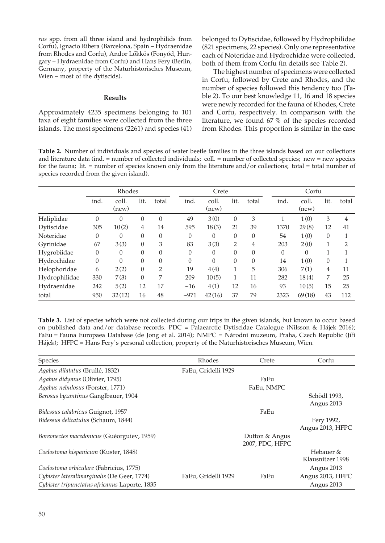*rus* spp. from all three island and hydrophilids from Corfu), Ignacio Ribera (Barcelona, Spain – Hydraenidae from Rhodes and Corfu), Andor Lökkös (Fonyód, Hungary – Hydraenidae from Corfu) and Hans Fery (Berlin, Germany, property of the Naturhistorisches Museum, Wien – most of the dytiscids).

## **Results**

Approximately 4235 specimens belonging to 101 taxa of eight families were collected from the three islands. The most specimens (2261) and species (41) belonged to Dytiscidae, followed by Hydrophilidae (821 specimens, 22 species). Only one representative each of Noteridae and Hydrochidae were collected, both of them from Corfu (in details see Table 2).

The highest number of specimens were collected in Corfu, followed by Crete and Rhodes, and the number of species followed this tendency too (Table 2). To our best knowledge 11, 16 and 18 species were newly recorded for the fauna of Rhodes, Crete and Corfu, respectively. In comparison with the literature, we found 67 % of the species recorded from Rhodes. This proportion is similar in the case

**Table 2.** Number of individuals and species of water beetle families in the three islands based on our collections and literature data (ind. = number of collected individuals; coll. = number of collected species; new = new species for the fauna; lit.  $=$  number of species known only from the literature and/or collections; total  $=$  total number of species recorded from the given island).

|               | Rhodes   |                |                  |                | Crete    |                |                | Corfu        |  |              |                |          |                |
|---------------|----------|----------------|------------------|----------------|----------|----------------|----------------|--------------|--|--------------|----------------|----------|----------------|
|               | ind.     | coll.<br>(new) | lit.             | total          | ind.     | coll.<br>(new) | lit.           | total        |  | ind.         | coll.<br>(new) | lit.     | total          |
| Haliplidae    | $\Omega$ | $\theta$       | $\boldsymbol{0}$ | $\Omega$       | 49       | 3(0)           | $\theta$       | 3            |  |              | 1(0)           | 3        | 4              |
| Dytiscidae    | 305      | 10(2)          | 4                | 14             | 595      | 18(3)          | 21             | 39           |  | 1370         | 29(8)          | 12       | 41             |
| Noteridae     | 0        | $\Omega$       | $\theta$         | $\Omega$       | $\theta$ | $\Omega$       | $\mathbf{0}$   | $\mathbf{0}$ |  | 54           | 1(0)           | $\theta$ | 1              |
| Gyrinidae     | 67       | 3(3)           | $\theta$         | 3              | 83       | 3(3)           | $\overline{2}$ | 4            |  | 203          | 2(0)           | 1        | $\overline{2}$ |
| Hygrobiidae   | 0        | $\theta$       | $\theta$         | $\Omega$       | $\Omega$ | $\Omega$       | $\mathbf{0}$   | $\mathbf{0}$ |  | $\mathbf{0}$ | $\Omega$       |          |                |
| Hydrochidae   | $\Omega$ | $\Omega$       | $\theta$         | $\Omega$       | $\Omega$ | $\Omega$       | $\mathbf{0}$   | $\mathbf{0}$ |  | 14           | 1(0)           | $\theta$ | п              |
| Helophoridae  | 6        | 2(2)           | $\theta$         | $\overline{2}$ | 19       | 4(4)           | 1              | 5            |  | 306          | 7(1)           | 4        | 11             |
| Hydrophilidae | 330      | 7(3)           | $\Omega$         | 7              | 209      | 10(5)          | 1              | 11           |  | 282          | 18(4)          | 7        | 25             |
| Hydraenidae   | 242      | 5(2)           | 12               | 17             | ~16      | 4(1)           | 12             | 16           |  | 93           | 10(5)          | 15       | 25             |
| total         | 950      | 32(12)         | 16               | 48             | $-971$   | 42(16)         | 37             | 79           |  | 2323         | 69(18)         | 43       | 112            |

**Table 3.** List of species which were not collected during our trips in the given islands, but known to occur based on published data and/or database records. PDC = Palaearctic Dytiscidae Catalogue (Nilsson & Hájek 2016); FaEu = Fauna Europaea Database (de Jong et al. 2014); NMPC = Národní muzeum, Praha, Czech Republic (Jiří Hájek); HFPC = Hans Fery's personal collection, property of the Naturhistorisches Museum, Wien.

| Species                                       | Rhodes              | Crete                             | Corfu                          |
|-----------------------------------------------|---------------------|-----------------------------------|--------------------------------|
| Agabus dilatatus (Brullé, 1832)               | FaEu, Gridelli 1929 |                                   |                                |
| Agabus didymus (Olivier, 1795)                |                     | FaEu                              |                                |
| Agabus nebulosus (Forster, 1771)              |                     | FaEu, NMPC                        |                                |
| Berosus byzantinus Ganglbauer, 1904           |                     |                                   | Schödl 1993,<br>Angus 2013     |
| Bidessus calabricus Guignot, 1957             |                     | FaEu                              |                                |
| Bidessus delicatulus (Schaum, 1844)           |                     |                                   | Fery 1992,<br>Angus 2013, HFPC |
| Boreonectes macedonicus (Guéorguiev, 1959)    |                     | Dutton & Angus<br>2007, PDC, HFPC |                                |
| Coelostoma hispanicum (Kuster, 1848)          |                     |                                   | Hebauer &<br>Klausnitzer 1998  |
| Coelostoma orbiculare (Fabricius, 1775)       |                     |                                   | Angus 2013                     |
| Cybister lateralimarginalis (De Geer, 1774)   | FaEu, Gridelli 1929 | FaEu                              | Angus 2013, HFPC               |
| Cybister tripunctatus africanus Laporte, 1835 |                     |                                   | Angus 2013                     |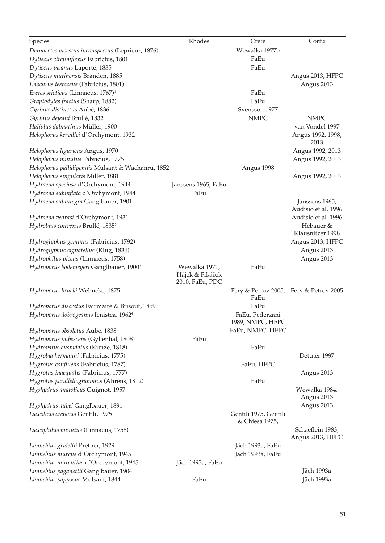| Species                                               | Rhodes                                              | Crete                                   | Corfu                                |
|-------------------------------------------------------|-----------------------------------------------------|-----------------------------------------|--------------------------------------|
| Deronectes moestus inconspectus (Leprieur, 1876)      |                                                     | Wewalka 1977b                           |                                      |
| Dytiscus circumflexus Fabricius, 1801                 |                                                     | FaEu                                    |                                      |
| Dytiscus pisanus Laporte, 1835                        |                                                     | FaEu                                    |                                      |
| Dytiscus mutinensis Branden, 1885                     |                                                     |                                         | Angus 2013, HFPC                     |
| Enochrus testaceus (Fabricius, 1801)                  |                                                     |                                         | Angus 2013                           |
| <i>Eretes sticticus</i> (Linnaeus, 1767) <sup>1</sup> |                                                     | FaEu                                    |                                      |
| Graptodytes fractus (Sharp, 1882)                     |                                                     | FaEu                                    |                                      |
| Gyrinus distinctus Aubé, 1836                         |                                                     | Svensson 1977                           |                                      |
| Gyrinus dejeani Brullé, 1832                          |                                                     | <b>NMPC</b>                             | <b>NMPC</b>                          |
| Haliplus dalmatinus Müller, 1900                      |                                                     |                                         | van Vondel 1997                      |
| Helophorus kervillei d'Orchymont, 1932                |                                                     |                                         | Angus 1992, 1998,<br>2013            |
| Helophorus liguricus Angus, 1970                      |                                                     |                                         | Angus 1992, 2013                     |
| Helophorus minutus Fabricius, 1775                    |                                                     |                                         | Angus 1992, 2013                     |
| Helophorus pallidipennis Mulsant & Wachanru, 1852     |                                                     | Angus 1998                              |                                      |
| Helophorus singularis Miller, 1881                    |                                                     |                                         | Angus 1992, 2013                     |
| Hydraena speciosa d'Orchymont, 1944                   | Janssens 1965, FaEu                                 |                                         |                                      |
| Hydraena subinflata d'Orchymont, 1944                 | FaEu                                                |                                         |                                      |
| Hydraena subintegra Ganglbauer, 1901                  |                                                     |                                         | Janssens 1965,                       |
|                                                       |                                                     |                                         | Audisio et al. 1996                  |
| Hydraena vedrasi d'Orchymont, 1931                    |                                                     |                                         | Audisio et al. 1996                  |
| Hydrobius convexus Brullé, 1835 <sup>2</sup>          |                                                     |                                         | Hebauer &                            |
|                                                       |                                                     |                                         | Klausnitzer 1998                     |
| Hydroglyphus geminus (Fabricius, 1792)                |                                                     |                                         | Angus 2013, HFPC                     |
| Hydroglyphus signatellus (Klug, 1834)                 |                                                     |                                         | Angus 2013                           |
| Hydrophilus piceus (Linnaeus, 1758)                   |                                                     |                                         | Angus 2013                           |
| Hydroporus bodemeyeri Ganglbauer, 1900 <sup>3</sup>   | Wewalka 1971,<br>Hájek & Fikáček<br>2010, FaEu, PDC | FaEu                                    |                                      |
| Hydroporus brucki Wehncke, 1875                       |                                                     | Fery & Petrov 2005, Fery & Petrov 2005  |                                      |
|                                                       |                                                     | FaEu                                    |                                      |
| Hydroporus discretus Fairmaire & Brisout, 1859        |                                                     | FaEu                                    |                                      |
| Hydroporus dobrogeanus Ienistea, 1962 <sup>4</sup>    |                                                     | FaEu, Pederzani                         |                                      |
|                                                       |                                                     | 1989, NMPC, HFPC                        |                                      |
| Hydroporus obsoletus Aube, 1838                       |                                                     | FaEu, NMPC, HFPC                        |                                      |
| Hydroporus pubescens (Gyllenhal, 1808)                | FaEu                                                |                                         |                                      |
| Hydrovatus cuspidatus (Kunze, 1818)                   |                                                     | FaEu                                    |                                      |
| Hygrobia hermanni (Fabricius, 1775)                   |                                                     |                                         | Dettner 1997                         |
| Hygrotus confluens (Fabricius, 1787)                  |                                                     | FaEu, HFPC                              |                                      |
| Hygrotus inaequalis (Fabricius, 1777)                 |                                                     |                                         | Angus 2013                           |
| Hygrotus parallellogrammus (Ahrens, 1812)             |                                                     | FaEu                                    |                                      |
| Hyphydrus anatolicus Guignot, 1957                    |                                                     |                                         | Wewalka 1984,                        |
|                                                       |                                                     |                                         | Angus 2013                           |
| Hyphydrus aubei Ganglbauer, 1891                      |                                                     |                                         | Angus 2013                           |
| Laccobius cretaeus Gentili, 1975                      |                                                     | Gentili 1975, Gentili<br>& Chiesa 1975, |                                      |
| Laccophilus minutus (Linnaeus, 1758)                  |                                                     |                                         | Schaeflein 1983,<br>Angus 2013, HFPC |
| Limnebius gridellii Pretner, 1929                     |                                                     | Jäch 1993a, FaEu                        |                                      |
| Limnebius murcus d'Orchymont, 1945                    |                                                     | Jäch 1993a, FaEu                        |                                      |
| Limnebius murentius d'Orchymont, 1945                 | Jäch 1993a, FaEu                                    |                                         |                                      |
| Limnebius paganettii Ganglbauer, 1904                 |                                                     |                                         | Jäch 1993a                           |
| Limnebius papposus Mulsant, 1844                      | FaEu                                                |                                         | Jäch 1993a                           |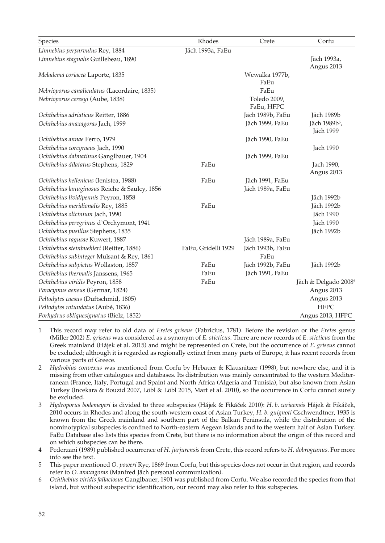| Species                                      | Rhodes              | Crete                      | Corfu                                  |
|----------------------------------------------|---------------------|----------------------------|----------------------------------------|
| Limnebius perparvulus Rey, 1884              | Jäch 1993a, FaEu    |                            |                                        |
| Limnebius stagnalis Guillebeau, 1890         |                     |                            | Jäch 1993a,<br>Angus 2013              |
| Meladema coriacea Laporte, 1835              |                     | Wewalka 1977b,<br>FaEu     |                                        |
| Nebrioporus canaliculatus (Lacordaire, 1835) |                     | FaEu                       |                                        |
| Nebrioporus ceresyi (Aube, 1838)             |                     | Toledo 2009,<br>FaEu, HFPC |                                        |
| Ochthebius adriaticus Reitter, 1886          |                     | Jäch 1989b, FaEu           | Jäch 1989b                             |
| Ochthebius anaxagoras Jach, 1999             |                     | Jäch 1999, FaEu            | Jäch 1989b <sup>5</sup> ,<br>Jäch 1999 |
| Ochthebius annae Ferro, 1979                 |                     | Jäch 1990, FaEu            |                                        |
| Ochthebius corcyraeus Jach, 1990             |                     |                            | Jach 1990                              |
| Ochthebius dalmatinus Ganglbauer, 1904       |                     | Jäch 1999, FaEu            |                                        |
| Ochthebius dilatatus Stephens, 1829          | FaEu                |                            | Jach 1990,<br>Angus 2013               |
| Ochthebius hellenicus (Ienistea, 1988)       | FaEu                | Jäch 1991, FaEu            |                                        |
| Ochthebius lanuginosus Reiche & Saulcy, 1856 |                     | Jäch 1989a, FaEu           |                                        |
| Ochthebius lividipennis Peyron, 1858         |                     |                            | Jäch 1992b                             |
| Ochthebius meridionalis Rey, 1885            | FaEu                |                            | Jäch 1992b                             |
| Ochthebius olicinium Jach, 1990              |                     |                            | Jäch 1990                              |
| Ochthebius peregrinus d'Orchymont, 1941      |                     |                            | Jäch 1990                              |
| Ochthebius pusillus Stephens, 1835           |                     |                            | Jäch 1992b                             |
| Ochthebius ragusae Kuwert, 1887              |                     | Jäch 1989a, FaEu           |                                        |
| Ochthebius steinbuehleri (Reitter, 1886)     | FaEu, Gridelli 1929 | Jäch 1993b, FaEu           |                                        |
| Ochthebius subinteger Mulsant & Rey, 1861    |                     | FaEu                       |                                        |
| Ochthebius subpictus Wollaston, 1857         | FaEu                | Jäch 1992b, FaEu           | Jäch 1992b                             |
| Ochthebius thermalis Janssens, 1965          | FaEu                | Jäch 1991, FaEu            |                                        |
| Ochthebius viridis Peyron, 1858              | FaEu                |                            | Jäch & Delgado 2008 <sup>6</sup>       |
| Paracymus aeneus (Germar, 1824)              |                     |                            | Angus 2013                             |
| Peltodytes caesus (Duftschmid, 1805)         |                     |                            | Angus 2013                             |
| Peltodytes rotundatus (Aubé, 1836)           |                     |                            | <b>HFPC</b>                            |
| Porhydrus obliquesignatus (Bielz, 1852)      |                     |                            | Angus 2013, HFPC                       |

- 1 This record may refer to old data of *Eretes griseus* (Fabricius, 1781). Before the revision or the *Eretes* genus (Miller 2002) *E. griseus* was considered as a synonym of *E. sticticus*. There are new records of *E. sticticus* from the Greek mainland (Hájek et al. 2015) and might be represented on Crete, but the occurrence of *E. griseus* cannot be excluded; although it is regarded as regionally extinct from many parts of Europe, it has recent records from various parts of Greece.
- 2 *Hydrobius convexus* was mentioned from Corfu by Hebauer & Klausnitzer (1998), but nowhere else, and it is missing from other catalogues and databases. Its distribution was mainly concentrated to the western Mediterranean (France, Italy, Portugal and Spain) and North Africa (Algeria and Tunisia), but also known from Asian Turkey (Incekara & Bouzid 2007, Löbl & Löbl 2015, Mart et al. 2010), so the occurrence in Corfu cannot surely be excluded.
- 3 *Hydroporus bodemeyeri* is divided to three subspecies (Hájek & Fikácek 2010): *H. b. cariaensis* Hájek & Fikácek, 2010 occurs in Rhodes and along the south-western coast of Asian Turkey, *H. b. guignoti* Gschwendtner, 1935 is known from the Greek mainland and southern part of the Balkan Peninsula, while the distribution of the nominotypical subspecies is confined to North-eastern Aegean Islands and to the western half of Asian Turkey. FaEu Database also lists this species from Crete, but there is no information about the origin of this record and on which subspecies can be there.
- 4 Pederzani (1989) published occurrence of *H. jurjurensis* from Crete, this record refers to *H. dobrogeanus*. For more info see the text.
- 5 This paper mentioned *O. poweri* Rye, 1869 from Corfu, but this species does not occur in that region, and records refer to *O. anaxagoras* (Manfred Jäch personal communication).
- 6 *Ochthebius viridis fallaciosus* Ganglbauer, 1901 was published from Corfu. We also recorded the species from that island, but without subspecific identification, our record may also refer to this subspecies.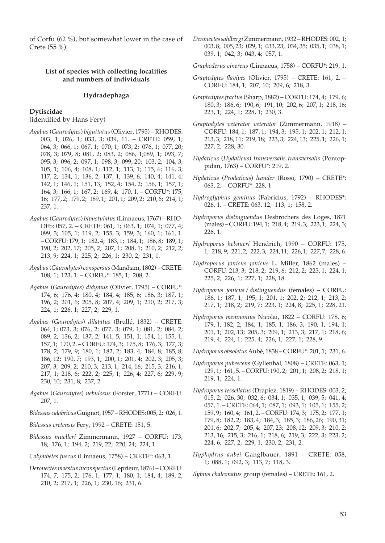of Corfu (62 %), but somewhat lower in the case of Crete (55 %).

## **List of species with collecting localities and numbers of individuals**

#### **Hydradephaga**

#### **Dytiscidae**

(identified by Hans Fery)

- *Agabus* (*Gaurodytes*) *biguttatus* (Olivier, 1795) RHODES: 003, 1; 026, 1; 033, 3; 039, 11. – CRETE: 059, 1; 064, 3; 066, 1; 067, 1; 070, 1; 073, 2; 076, 1; 077, 20; 078, 3; 079, 8; 081, 2; 083, 2; 086, 1;089, 1; 093, 7; 095, 3; 096, 2; 097, 1; 098, 3; 099, 20; 103, 2; 104, 3; 105, 1; 106, 4; 108, 1; 112, 1; 113, 1; 115, 6; 116, 3; 117, 2; 134, 1; 136, 2; 137, 1; 139, 6; 140, 4; 141, 4; 142, 1; 146, 1; 151, 13; 152, 4; 154, 2; 156, 1; 157, 1; 164, 3; 166, 1; 167, 2; 169, 4; 170, 1. – CORFU\*: 175, 16; 177, 2; 179, 2; 189, 1; 201, 1; 209, 2; 210, 6; 214, 1; 237, 1.
- *Agabus* (*Gaurodytes*) *bipustulatus* (Linnaeus, 1767) RHO-DES: 057, 2. – CRETE: 061, 1; 063, 1; 074, 1; 077, 4; 099, 3; 105, 1; 119, 2; 155, 3; 159, 3; 160, 1; 161, 1. – CORFU: 179, 1; 182, 4; 183, 1; 184, 1; 186, 8; 189, 1; 190, 2; 202, 17; 205, 2; 207, 1; 208, 1; 210, 2; 212, 2; 213, 9; 224, 1; 225, 2; 226, 1; 230, 2; 231, 1.
- *Agabus* (*Gaurodytes*) *conspersus* (Marsham, 1802) CRETE: 108, 1; 123, 1. – CORFU\*: 185, 1; 208, 2.
- *Agabus* (*Gaurodytes*) *didymus* (Olivier, 1795) CORFU\*: 174, 6; 176, 4; 180, 4; 184, 4; 185, 6; 186, 3; 187, 1; 196, 2; 201, 6; 205, 8; 207, 4; 209, 1; 210, 2; 217, 3; 224, 1; 226, 1; 227, 2; 229, 1.
- *Agabus* (*Gaurodytes*) *dilatatus* (Brullé, 1832) CRETE: 064, 1; 073, 3; 076, 2; 077, 3; 079, 1; 081, 2; 084, 2; 089, 2; 136, 2; 137, 2; 141, 5; 151, 1; 154, 1; 155, 1; 157, 1; 170, 2. – CORFU: 174, 3; 175, 8; 176, 3; 177, 3; 178, 2; 179, 9; 180, 1; 182, 2; 183, 4; 184, 8; 185, 8; 186, 12; 190, 7; 193, 1; 200, 1; 201, 4; 202, 3; 205, 3; 207, 3; 209, 2; 210, 3; 213, 1; 214, 16; 215, 3; 216, 1; 217, 1; 218, 6; 222, 2; 225, 1; 226, 4; 227, 6; 229, 9; 230, 10; 231, 8; 237, 2.
- *Agabus* (*Gaurodytes*) *nebulosus* (Forster, 1771) CORFU: 207, 1.
- *Bidessus calabricus* Guignot, 1957 RHODES: 005, 2; 026, 1.
- *Bidessus cretensis* Fery, 1992 CRETE: 151, 5.
- *Bidessus muelleri* Zimmermann, 1927 CORFU: 173, 18; 176, 1; 194, 2; 219, 22; 220, 24; 224, 1.
- *Colymbetes fuscus* (Linnaeus, 1758) CRETE\*: 063, 1.
- *Deronectes moestus inconspectus* (Leprieur, 1876) CORFU: 174, 7; 175, 2; 176, 1; 177, 1; 180, 1; 184, 4; 189, 2; 210, 2; 217, 1; 226, 1; 230, 16; 231, 6.
- *Deronectes sahlbergi* Zimmermann, 1932 RHODES: 002, 1; 003, 8; 005, 23; 029, 1; 033, 23; 034, 35; 035, 1; 038, 1; 039, 1; 042, 3; 043, 4; 057, 1.
- *Graphoderus cinereus* (Linnaeus, 1758) CORFU\*: 219, 1.
- *Graptodytes flavipes* (Olivier, 1795) CRETE: 161, 2. CORFU: 184, 1; 207, 10; 209, 6; 218, 3.
- *Graptodytes fractus* (Sharp, 1882) CORFU: 174, 4; 179, 6; 180, 3; 186, 6; 190, 6; 191, 10; 202, 6; 207, 1; 218, 16; 223, 1; 224, 1; 228, 1; 230, 3.
- *Graptodytes veterator veterator* (Zimmermann, 1918) CORFU: 184, 1; 187, 1; 194, 3; 195, 1; 202, 1; 212, 1; 213, 3; 218, 11; 219, 18; 223, 3; 224, 13; 225, 1; 226, 1; 227, 2; 228, 30.
- *Hydaticus* (*Hydaticus*) *transversalis transversalis* (Pontoppidan, 1763) – CORFU\*: 219, 2.
- *Hydaticus* (*Prodaticus*) *leander* (Rossi, 1790) CRETE\*: 063, 2. – CORFU\*: 228, 1.
- *Hydroglyphus geminus* (Fabricius, 1792) RHODES\*: 026, 1. – CRETE: 063, 12; 113, 1; 158, 2.
- *Hydroporus distinguendus* Desbrochers des Loges, 1871 (males) – CORFU: 194, 1; 218, 4; 219, 3; 223, 1; 224, 3; 226, 1.
- *Hydroporus hebaueri* Hendrich, 1990 CORFU: 175, 1; 218, 9; 221, 2; 222, 3; 224, 11; 226, 1; 227, 7; 228, 6.
- *Hydroporus jonicus jonicus* L. Miller, 1862 (males) CORFU: 213, 3; 218, 2; 219, 6; 212, 2; 223, 1; 224, 1; 225, 2; 226, 1; 227, 1; 228, 18.
- *Hydroporus jonicus* / *distinguendus* (females) CORFU: 186, 1; 187, 1; 195, 1; 201, 1; 202, 2; 212, 1; 213, 2; 217, 1; 218, 2; 219, 7; 223, 1; 224, 8; 225, 1; 228, 21.
- *Hydroporus memnonius* Nicolai, 1822 CORFU: 178, 6; 179, 1; 182, 2; 184, 1; 185, 1; 186, 3; 190, 1; 194, 1; 201, 1; 202, 13; 205, 3; 209, 1; 213, 3; 217, 1; 218, 6; 219, 4; 224, 1; 225, 4; 226, 1; 227, 1; 228, 9.

*Hydroporus obsoletus* Aubé, 1838 – CORFU\*: 201, 1; 231, 6.

- *Hydroporus pubescens* (Gyllenhal, 1808) CRETE: 063, 1; 129, 1; 161, 5. – CORFU: 190, 2; 201, 1; 208, 2; 218, 1; 219, 1; 224, 1.
- *Hydroporus tessellatus* (Drapiez, 1819) RHODES: 003, 2; 015, 2; 026, 30; 032, 6; 034, 1; 035, 1; 039, 5; 041, 4; 057, 1. – CRETE: 064, 1; 087, 1; 093, 1; 105, 1; 155, 2; 159, 9; 160, 4; 161, 2. – CORFU: 174, 3; 175, 2; 177, 1; 179, 8; 182, 2; 183, 4; 184, 3; 185, 3; 186, 26; 190, 31; 201, 6; 202, 7; 205, 4; 207, 23; 208, 12; 209, 3; 210, 2; 213, 16; 215, 3; 216, 1; 218, 6; 219, 3; 222, 3; 223, 2; 224, 6; 227, 2; 229, 1; 230, 2; 231, 2.
- *Hyphydrus aubei* Ganglbauer, 1891 CRETE: 058, 1; 088, 1; 092, 3; 113, 7; 118, 3.

*Ilybius chalconatus* group (females) – CRETE: 161, 2.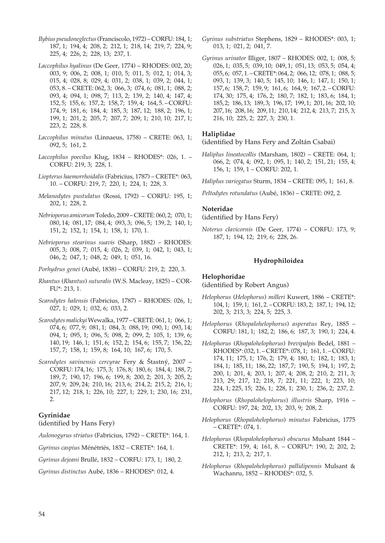- *Ilybius pseudoneglectus* (Franciscolo, 1972) CORFU: 184, 1; 187, 1; 194, 4; 208, 2; 212, 1; 218, 14; 219, 7; 224, 9; 225, 4; 226, 2; 228, 13; 237, 1.
- *Laccophilus hyalinus* (De Geer, 1774) RHODES: 002, 20; 003, 9; 006, 2; 008, 1; 010, 5; 011, 5; 012, 1; 014, 3; 015, 4; 028, 8; 029, 4; 031, 2; 038, 1; 039, 2; 044, 1; 053, 8. – CRETE: 062, 3; 066, 3; 074, 6; 081, 1; 088, 2; 093, 4; 094, 1; 098, 7; 113, 2; 139, 2; 140, 4; 147, 4; 152, 5; 155, 6; 157, 2; 158, 7; 159, 4; 164, 5. – CORFU: 174, 9; 181, 6; 184, 4; 185, 3; 187, 12; 188, 2; 196, 1; 199, 1; 201, 2; 205, 7; 207, 7; 209, 1; 210, 10; 217, 1; 223, 2; 228, 8.
- *Laccophilus minutus* (Linnaeus, 1758) CRETE: 063, 1; 092, 5; 161, 2.
- *Laccophilus poecilus* Klug, 1834 RHODES\*: 026, 1. CORFU: 219, 3; 228, 1.
- *Liopterus haemorrhoidalis* (Fabricius, 1787) CRETE\*: 063, 10. – CORFU: 219, 7; 220, 1; 224, 1; 228, 3.
- *Melanodytes pustulatus* (Rossi, 1792) CORFU: 195, 1; 202, 1; 228, 2.
- *Nebrioporus amicorum* Toledo, 2009 CRETE: 060, 2; 070, 1; 080, 14; 081, 17; 084, 4; 093, 3; 096, 5; 139, 2; 140, 1; 151, 2; 152, 1; 154, 1; 158, 1; 170, 1.
- *Nebrioporus stearinus suavis* (Sharp, 1882) RHODES: 005, 3; 008, 7; 015, 4; 026, 2; 039, 1; 042, 1; 043, 1; 046, 2; 047, 1; 048, 2; 049, 1; 051, 16.
- *Porhydrus genei* (Aubé, 1838) CORFU: 219, 2; 220, 3.
- *Rhantus* (*Rhantus*) *suturalis* (W.S. Macleay, 1825) COR-FU\*: 213, 1.
- *Scarodytes halensis* (Fabricius, 1787) RHODES: 026, 1; 027, 1; 029, 1; 032, 6; 033, 2.
- *Scarodytes malickyi* Wewalka, 1977 CRETE: 061, 1; 066, 1; 074, 6; 077, 9; 081, 1; 084, 3; 088, 19; 090, 1; 093, 14; 094, 1; 095, 1; 096, 5; 098, 2; 099, 2; 105, 1; 139, 6; 140, 19; 146, 1; 151, 6; 152, 2; 154, 6; 155, 7; 156, 22; 157, 7; 158, 1; 159, 8; 164, 10; 167, 6; 170, 5.
- *Scarodytes savinensis cercyrae* Fery & Štastný, 2007 CORFU: 174, 16; 175, 3; 176, 8; 180, 6; 184, 4; 188, 7; 189, 7; 190, 17; 196, 6; 199, 8; 200, 2; 201, 3; 205, 2; 207, 9; 209, 24; 210, 16; 213, 6; 214, 2; 215, 2; 216, 1; 217, 12; 218, 1; 226, 10; 227, 1; 229, 1; 230, 16; 231, 2.

#### **Gyrinidae**

(identified by Hans Fery)

*Aulonogyrus striatus* (Fabricius, 1792) – CRETE\*: 164, 1.

*Gyrinus caspius* Ménétriés, 1832 – CRETE\*: 164, 1.

*Gyrinus dejeani* Brullé, 1832 – CORFU: 173, 1; 180, 2.

*Gyrinus distinctus* Aubé, 1836 – RHODES\*: 012, 4.

- *Gyrinus substriatus* Stephens, 1829 RHODES\*: 003, 1; 013, 1; 021, 2; 041, 7.
- *Gyrinus urinator* Illiger, 1807 RHODES: 002, 1; 008, 5; 026, 1; 035, 5; 039, 10; 049, 1; 051, 13; 053, 5; 054, 4; 055, 6; 057, 1. – CRETE\*: 064, 2; 066, 12; 078, 1; 088, 5; 093, 1; 139, 3; 140, 5; 145, 10; 146, 1; 147, 1; 150, 1; 157, 6; 158, 7; 159, 9; 161, 6; 164, 9; 167, 2. – CORFU: 174, 30; 175, 4; 176, 2; 180, 7; 182, 1; 183, 6; 184, 1; 185, 2; 186, 13; 189, 3; 196, 17; 199, 1; 201, 16; 202, 10; 207, 16; 208, 16; 209, 11; 210, 14; 212, 4; 213, 7; 215, 3; 216, 10; 225, 2; 227, 3; 230, 1.

## **Haliplidae**

(identified by Hans Fery and Zoltán Csabai)

- *Haliplus lineatocollis* (Marsham, 1802) CRETE: 064, 1; 066, 2; 074, 4; 092, 1; 095, 1; 140, 2; 151, 21; 155, 4; 156, 1; 159, 1 – CORFU: 202, 1.
- *Haliplus variegatus* Sturm, 1834 CRETE: 095, 1; 161, 8.
- *Peltodytes rotundatus* (Aubé, 1836) CRETE: 092, 2.

## **Noteridae**

(identified by Hans Fery)

*Noterus clavicornis* (De Geer, 1774) – CORFU: 173, 9; 187, 1; 194, 12; 219, 6; 228, 26.

#### **Hydrophiloidea**

#### **Helophoridae**

(identified by Robert Angus)

- *Helophorus* (*Helophorus*) *milleri* Kuwert, 1886 CRETE\*: 104, 1; 159, 1; 161, 2. – CORFU: 183, 2; 187, 1; 194, 12; 202, 3; 213, 3; 224, 5; 225, 3.
- *Helophorus* (*Rhopalohelophorus*) *asperatus* Rey, 1885 CORFU: 181, 1; 182, 2; 186, 6; 187, 3; 190, 1; 224, 4.
- *Helophorus* (*Rhopalohelophorus*) *brevipalpis* Bedel, 1881 RHODES\*: 032, 1. – CRETE\*: 078, 1; 161, 1. – CORFU: 174, 11; 175, 1; 176, 2; 179, 4; 180, 1; 182, 1; 183, 1; 184, 1; 185, 11; 186, 22; 187, 7; 190, 5; 194, 1; 197, 2; 200, 1; 201, 4; 203, 1; 207, 4; 208, 2; 210, 2; 211, 3; 213, 29; 217, 12; 218, 7; 221, 11; 222, 1; 223, 10; 224, 1; 225, 15; 226, 1; 228, 1; 230, 1; 236, 2; 237, 2.
- *Helophorus* (*Rhopalohelophorus*) *illustris* Sharp, 1916 CORFU: 197, 24; 202, 13; 203, 9; 208, 2.
- *Helophorus* (*Rhopalohelophorus*) *minutus* Fabricius, 1775 – CRETE\*: 074, 1.
- *Helophorus* (*Rhopalohelophorus*) *obscurus* Mulsant 1844 CRETE\*: 159, 4; 161, 8. – CORFU\*: 190, 2; 202, 2; 212, 1; 213, 2; 217, 1.
- *Helophorus* (*Rhopalohelophorus*) *pallidipennis* Mulsant & Wachanru, 1852 – RHODES\*: 032, 5.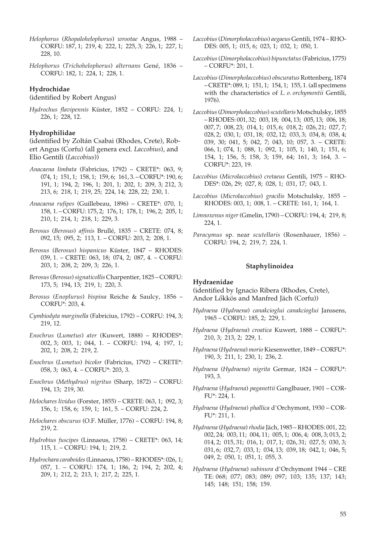- *Helophorus* (*Rhopalohelophorus*) *wrootae* Angus, 1988 CORFU: 187, 1; 219, 4; 222, 1; 225, 3; 226, 1; 227, 1; 228, 10.
- *Helophorus* (*Trichohelophorus*) *alternans* Gené, 1836 CORFU: 182, 1; 224, 1; 228, 1.

## **Hydrochidae**

## (identified by Robert Angus)

*Hydrochus flavipennis* Küster, 1852 – CORFU: 224, 1; 226, 1; 228, 12.

#### **Hydrophilidae**

(identified by Zoltán Csabai (Rhodes, Crete), Robert Angus (Corfu) (all genera excl. *Laccobius*), and Elio Gentili (*Laccobius*))

- *Anacaena limbata* (Fabricius, 1792) CRETE\*: 063, 9; 074, 1; 151, 1; 158, 1; 159, 6; 161, 3. – CORFU\*: 190, 6; 191, 1; 194, 2; 196, 1; 201, 1; 202, 1; 209, 3; 212, 3; 213, 6; 218, 1; 219, 25; 224, 14; 228, 22; 230, 1.
- *Anacaena rufipes* (Guillebeau, 1896) CRETE\*: 070, 1; 158, 1. – CORFU: 175, 2; 176, 1; 178, 1; 196, 2; 205, 1; 210, 1; 214, 1; 218, 1; 229, 3.
- *Berosus* (*Berosus*) *affinis* Brullé, 1835 CRETE: 074, 8; 092, 15; 095, 2; 113, 1. – CORFU: 203, 2; 208, 1.
- *Berosus* (*Berosus*) *hispanicus* Küster, 1847 RHODES: 039, 1. – CRETE: 063, 18; 074, 2; 087, 4. – CORFU: 203, 1; 208, 2; 209, 3; 226, 1.
- *Berosus* (*Berosus*) *signaticollis* Charpentier, 1825 CORFU: 173, 5; 194, 13; 219, 1; 220, 3.
- *Berosus* (*Enoplurus*) *bispina* Reiche & Saulcy, 1856 CORFU\*: 203, 4.
- *Cymbiodyta marginella* (Fabricius, 1792) CORFU: 194, 3; 219, 12.
- *Enochrus* (*Lumetus*) *ater* (Kuwert, 1888) RHODES\*: 002, 3; 003, 1; 044, 1. – CORFU: 194, 4; 197, 1; 202, 1; 208, 2; 219, 2.
- *Enochrus* (*Lumetus*) *bicolor* (Fabricius, 1792) CRETE\*: 058, 3; 063, 4. – CORFU\*: 203, 3.
- *Enochrus* (*Methydrus*) *nigritus* (Sharp, 1872) CORFU: 194, 13; 219, 30.
- *Helochares lividus* (Forster, 1855) CRETE: 063, 1; 092, 3; 156, 1; 158, 6; 159, 1; 161, 5. – CORFU: 224, 2.
- *Helochares obscurus* (O.F. Müller, 1776) CORFU: 194, 8; 219, 2.
- *Hydrobius fuscipes* (Linnaeus, 1758) CRETE\*: 063, 14; 115, 1. – CORFU: 194, 1; 219, 2.
- *Hydrochara caraboides* (Linnaeus, 1758) RHODES\*: 026, 1; 057, 1. – CORFU: 174, 1; 186, 2; 194, 2; 202, 4; 209, 1; 212, 2; 213, 1; 217, 2; 225, 1.
- *Laccobius* (*Dimorpholaccobius*) *aegaeus* Gentili, 1974 RHO-DES: 005, 1; 015, 6; 023, 1; 032, 1; 050, 1.
- *Laccobius* (*Dimorpholaccobius*) *bipunctatus* (Fabricius, 1775) – CORFU\*: 201, 1.
- *Laccobius* (*Dimorpholaccobius*) *obscuratus* Rottenberg, 1874 – CRETE\*: 089, 1; 151, 1; 154, 1; 155, 1. (all specimens with the characteristics of *L. o. orchymontii* Gentili, 1976).
- *Laccobius* (*Dimorpholaccobius*) *scutellaris* Motschulsky, 1855 – RHODES: 001, 32; 003, 18; 004, 13; 005, 13; 006, 18; 007, 7; 008, 23; 014, 1; 015, 6; 018, 2; 026, 21; 027, 7; 028, 2; 030, 1; 031, 18; 032, 12; 033, 3; 034, 8; 038, 4; 039, 30; 041, 5; 042, 7; 043, 10; 057, 3. – CRETE: 066, 1; 074, 1; 088, 1; 092, 1; 105, 1; 140, 1; 151, 6; 154, 1; 156, 5; 158, 3; 159, 64; 161, 3; 164, 3. – CORFU\*: 223, 19.
- *Laccobius* (*Microlaccobius*) *cretaeus* Gentili, 1975 RHO-DES\*: 026, 29; 027, 8; 028, 1; 031, 17; 043, 1.
- *Laccobius* (*Microlaccobius*) *gracilis* Motschulsky, 1855 RHODES: 003, 1; 008, 1. – CRETE: 161, 1; 164, 1.
- *Limnoxenus niger* (Gmelin, 1790) CORFU: 194, 4; 219, 8; 224, 1.
- *Paracymus* sp. near *scutellaris* (Rosenhauer, 1856) CORFU: 194, 2; 219, 7; 224, 1.

## **Staphylinoidea**

#### **Hydraenidae**

(identified by Ignacio Ribera (Rhodes, Crete), Andor Lökkös and Manfred Jäch (Corfu))

- *Hydraena* (*Hydraena*) *canakcioglui canakcioglui* Janssens, 1965 – CORFU: 185, 2; 229, 1.
- *Hydraena* (*Hydraena*) *croatica* Kuwert, 1888 CORFU\*: 210, 3; 213, 2; 229, 1.
- *Hydraena* (*Hydraena*) *morio* Kiesenwetter, 1849 CORFU\*: 190, 3; 211, 1; 230, 1; 236, 2.
- *Hydraena* (*Hydraena*) *nigrita* Germar, 1824 CORFU\*: 193, 3.
- *Hydraena* (*Hydraena*) *paganettii* Ganglbauer, 1901 COR-FU\*: 224, 1.
- *Hydraena* (*Hydraena*) *phallica* d'Orchymont, 1930 COR-FU\*: 211, 1.
- *Hydraena* (*Hydraena*) *rhodia* Jäch, 1985 RHODES: 001, 22; 002, 24; 003, 11; 004, 11; 005, 1; 006, 4; 008, 3; 013, 2; 014, 2; 015, 31; 016, 1; 017, 1; 026, 31; 027, 5; 030, 3; 031, 6; 032, 7; 033, 1; 034, 13; 039, 18; 042, 1; 046, 5; 049, 2; 050, 1; 051, 1; 055, 3.
- *Hydraena* (*Hydraena*) *subinura* d'Orchymont 1944 CRE TE: 068; 077; 083; 089; 097; 103; 135; 137; 143; 145; 148; 151; 158; 159.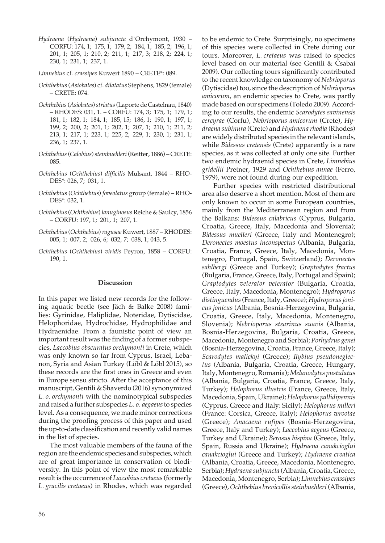*Hydraena* (*Hydraena*) *subjuncta* d'Orchymont, 1930 – CORFU: 174, 1; 175, 1; 179, 2; 184, 1; 185, 2; 196, 1; 201, 1; 205, 1; 210, 2; 211, 1; 217, 3; 218, 2; 224, 1; 230, 1; 231, 1; 237, 1.

*Limnebius* cf. *crassipes* Kuwert 1890 – CRETE\*: 089.

- *Ochthebius* (*Asiobates*) cf. *dilatatus* Stephens, 1829 (female) – CRETE: 074.
- *Ochthebius* (*Asiobates*) *striatus* (Laporte de Castelnau, 1840) – RHODES: 031, 1. – CORFU: 174, 3; 175, 1; 179, 1; 181, 1; 182, 1; 184, 1; 185, 15; 186, 1; 190, 1; 197, 1; 199, 2; 200, 2; 201, 1; 202, 1; 207, 1; 210, 1; 211, 2; 213, 1; 217, 1; 223, 1; 225, 2; 229, 1; 230, 1; 231, 1; 236, 1; 237, 1.
- *Ochthebius* (*Calobius*) *steinbuehleri* (Reitter, 1886) CRETE: 085.
- *Ochthebius* (*Ochthebius*) *difficilis* Mulsant, 1844 RHO-DES\*: 026, 7; 031, 1.
- *Ochthebius* (*Ochthebius*) *foveolatus* group (female) RHO-DES\*: 032, 1.
- *Ochthebius* (*Ochthebius*) *lanuginosus* Reiche & Saulcy, 1856 – CORFU: 197, 1; 201, 1; 207, 1.
- *Ochthebius* (*Ochthebius*) *ragusae* Kuwert, 1887 RHODES: 005, 1; 007, 2; 026, 6; 032, 7; 038, 1; 043, 5.
- *Ochthebius* (*Ochthebius*) *viridis* Peyron, 1858 CORFU: 190, 1.

#### **Discussion**

In this paper we listed new records for the following aquatic beetle (see Jäch & Balke 2008) families: Gyrinidae, Haliplidae, Noteridae, Dytiscidae, Helophoridae, Hydrochidae, Hydrophilidae and Hydraenidae. From a faunistic point of view an important result was the finding of a former subspecies, *Laccobius obscuratus orchymonti* in Crete, which was only known so far from Cyprus, Israel, Lebanon, Syria and Asian Turkey (Löbl & Löbl 2015), so these records are the first ones in Greece and even in Europe sensu stricto. After the acceptance of this manuscript, Gentili & Shaverdo (2016) synonymized *L. o. orchymonti* with the nominotypical subspecies and raised a further subspecies *L. o. aegaeus* to species level. As a consequence, we made minor corrections during the proofing process of this paper and used the up-to-date classification and recently valid names in the list of species.

The most valuable members of the fauna of the region are the endemic species and subspecies, which are of great importance in conservation of biodiversity. In this point of view the most remarkable result is the occurrence of *Laccobius cretaeus* (formerly *L. gracilis cretaeus*) in Rhodes, which was regarded

to be endemic to Crete. Surprisingly, no specimens of this species were collected in Crete during our tours. Moreover, *L. cretaeus* was raised to species level based on our material (see Gentili & Csabai 2009). Our collecting tours significantly contributed to the recent knowledge on taxonomy of *Nebrioporus* (Dytiscidae) too, since the description of *Nebrioporus amicorum*, an endemic species to Crete, was partly made based on our specimens (Toledo 2009). According to our results, the endemic *Scarodytes savinensis cercyrae* (Corfu), *Nebrioporus amicorum* (Crete), *Hydraena subinura* (Crete) and *Hydraena rhodia* (Rhodes) are widely distributed species in the relevant islands, while *Bidessus cretensis* (Crete) apparently is a rare species, as it was collected at only one site. Further two endemic hydraenid species in Crete, *Limnebius gridellii* Pretner, 1929 and *Ochthebius annae* (Ferro, 1979), were not found during our expedition.

Further species with restricted distributional area also deserve a short mention. Most of them are only known to occur in some European countries, mainly from the Mediterranean region and from the Balkans: *Bidessus calabricus* (Cyprus, Bulgaria, Croatia, Greece, Italy, Macedonia and Slovenia); *Bidessus muelleri* (Greece, Italy and Montenegro); *Deronectes moestus inconspectus* (Albania, Bulgaria, Croatia, France, Greece, Italy, Macedonia, Montenegro, Portugal, Spain, Switzerland); *Deronectes sahlbergi* (Greece and Turkey); *Graptodytes fractus* (Bulgaria, France, Greece, Italy, Portugal and Spain); *Graptodytes veterator veterator* (Bulgaria, Croatia, Greece, Italy, Macedonia, Montenegro); *Hydroporus distinguendus* (France, Italy, Greece); *Hydroporus jonicus jonicus* (Albania, Bosnia-Herzegovina, Bulgaria, Croatia, Greece, Italy, Macedonia, Montenegro, Slovenia); *Nebrioporus stearinus suavis* (Albania, Bosnia-Herzegovina, Bulgaria, Croatia, Greece, Macedonia, Montenegro and Serbia); *Porhydrus genei* (Bosnia-Herzegovina, Croatia, France, Greece, Italy); *Scarodytes malickyi* (Greece); *Ilybius pseudoneglectus* (Albania, Bulgaria, Croatia, Greece, Hungary, Italy, Montenegro, Romania); *Melanodytes pustulatus* (Albania, Bulgaria, Croatia, France, Greece, Italy, Turkey); *Helophorus illustris* (France, Greece, Italy, Macedonia, Spain, Ukraine); *Helophorus pallidipennis* (Cyprus, Greece and Italy: Sicily); *Helophorus milleri* (France: Corsica, Greece, Italy); *Helophorus wrootae* (Greece); *Anacaena rufipes* (Bosnia-Herzegovina, Greece, Italy and Turkey); *Laccobius aegeus* (Greece, Turkey and Ukraine); *Berosus bispina* (Greece, Italy, Spain, Russia and Ukraine); *Hydraena canakcioglui canakcioglui* (Greece and Turkey); *Hydraena croatica* (Albania, Croatia, Greece, Macedonia, Montenegro, Serbia); *Hydraena subjuncta* (Albania, Croatia, Greece, Macedonia, Montenegro, Serbia); *Limnebius crassipes* (Greece), *Ochthebius brevicollis steinbuehleri* (Albania,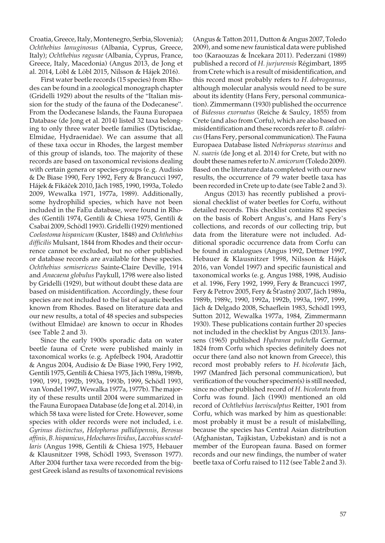Croatia, Greece, Italy, Montenegro, Serbia, Slovenia); *Ochthebius lanuginosus* (Albania, Cyprus, Greece, Italy); *Ochthebius ragusae* (Albania, Cyprus, France, Greece, Italy, Macedonia) (Angus 2013, de Jong et al. 2014, Löbl & Löbl 2015, Nilsson & Hájek 2016).

First water beetle records (15 species) from Rhodes can be found in a zoological monograph chapter (Gridelli 1929) about the results of the "Italian mission for the study of the fauna of the Dodecanese". From the Dodecanese Islands, the Fauna Europaea Database (de Jong et al. 2014) listed 32 taxa belonging to only three water beetle families (Dytiscidae, Elmidae, Hydraenidae). We can assume that all of these taxa occur in Rhodes, the largest member of this group of islands, too. The majority of these records are based on taxonomical revisions dealing with certain genera or species-groups (e. g. Audisio & De Biase 1990, Fery 1992, Fery & Brancucci 1997, Hájek & Fikácek 2010, Jäch 1985, 1990, 1993a, Toledo 2009, Wewalka 1971, 1977a, 1989). Additionally, some hydrophilid species, which have not been included in the FaEu database, were found in Rhodes (Gentili 1974, Gentili & Chiesa 1975, Gentili & Csabai 2009, Schödl 1993). Gridelli (1929) mentioned *Coelostoma hispanicum* (Kuster, 1848) and *Ochthebius difficilis* Mulsant, 1844 from Rhodes and their occurrence cannot be excluded, but no other published or database records are available for these species. *Ochthebius semisericeus* Sainte-Claire Deville, 1914 and *Anacaena globulus* Paykull, 1798 were also listed by Gridelli (1929), but without doubt these data are based on misidentification. Accordingly, these four species are not included to the list of aquatic beetles known from Rhodes. Based on literature data and our new results, a total of 48 species and subspecies (without Elmidae) are known to occur in Rhodes (see Table 2 and 3).

Since the early 1900s sporadic data on water beetle fauna of Crete were published mainly in taxonomical works (e. g. Apfelbeck 1904, Aradottir & Angus 2004, Audisio & De Biase 1990, Fery 1992, Gentili 1975, Gentili & Chiesa 1975, Jäch 1989a, 1989b, 1990, 1991, 1992b, 1993a, 1993b, 1999, Schödl 1993, van Vondel 1997, Wewalka 1977a, 1977b). The majority of these results until 2004 were summarized in the Fauna Europaea Database (de Jong et al. 2014), in which 58 taxa were listed for Crete. However, some species with older records were not included, i. e. *Gyrinus distinctus*, *Helophorus pallidipennis*, *Berosus affinis,B. hispanicus*, *Helochares lividus*, *Laccobius scutellaris* (Angus 1998, Gentili & Chiesa 1975, Hebauer & Klausnitzer 1998, Schödl 1993, Svensson 1977). After 2004 further taxa were recorded from the biggest Greek island as results of taxonomical revisions

(Angus & Tatton 2011, Dutton & Angus 2007, Toledo 2009), and some new faunistical data were published too (Karaouzas & Incekara 2011). Pederzani (1989) published a record of *H. jurjurensis* Régimbart, 1895 from Crete which is a result of misidentification, and this record most probably refers to *H. dobrogeanus,*  although molecular analysis would need to be sure about its identity (Hans Fery, personal communication). Zimmermann (1930) published the occurrence of *Bidessus exornatus* (Reiche & Saulcy, 1855) from Crete (and also from Corfu), which are also based on misidentification and these records refer to *B. calabricus* (Hans Fery, personal communication). The Fauna Europaea Database listed *Nebrioporus stearinus* and *N. suavis* (de Jong et al. 2014) for Crete, but with no doubt these names refer to *N. amicorum* (Toledo 2009). Based on the literature data completed with our new results, the occurrence of 79 water beetle taxa has been recorded in Crete up to date (see Table 2 and 3).

Angus (2013) has recently published a provisional checklist of water beetles for Corfu, without detailed records. This checklist contains 82 species on the basis of Robert Angus's, and Hans Fery's collections, and records of our collecting trip, but data from the literature were not included. Additional sporadic occurrence data from Corfu can be found in catalogues (Angus 1992, Dettner 1997, Hebauer & Klausnitzer 1998, Nilsson & Hájek 2016, van Vondel 1997) and specific faunistical and taxonomical works (e. g. Angus 1988, 1998, Audisio et al. 1996, Fery 1992, 1999, Fery & Brancucci 1997, Fery & Petrov 2005, Fery & Št'astný 2007, Jäch 1989a, 1989b, 1989c, 1990, 1992a, 1992b, 1993a, 1997, 1999, Jäch & Delgado 2008, Schaeflein 1983, Schödl 1993, Sutton 2012, Wewalka 1977a, 1984, Zimmermann 1930). These publications contain further 20 species not included in the checklist by Angus (2013). Janssens (1965) published *Hydranea pulchella* Germar, 1824 from Corfu which species definitely does not occur there (and also not known from Greece), this record most probably refers to *H. bicolorata* Jäch, 1997 (Manfred Jäch personal communication), but verification of the voucher specimen(s) is still needed, since no other published record of *H. bicolorata* from Corfu was found. Jäch (1990) mentioned an old record of *Ochthebius laevisculptus* Reitter, 1901 from Corfu, which was marked by him as questionable: most probably it must be a result of mislabelling, because the species has Central Asian distribution (Afghanistan, Tajikistan, Uzbekistan) and is not a member of the European fauna. Based on former records and our new findings, the number of water beetle taxa of Corfu raised to 112 (see Table 2 and 3).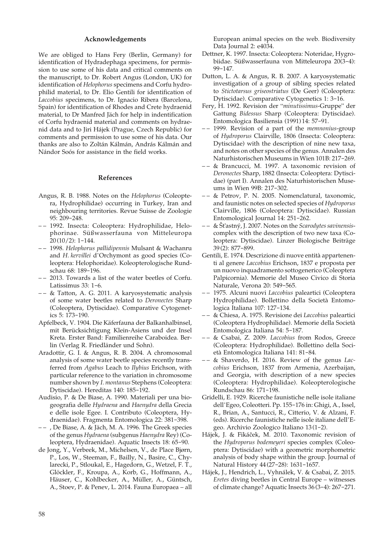#### **Acknowledgements**

We are obliged to Hans Fery (Berlin, Germany) for identification of Hydradephaga specimens, for permission to use some of his data and critical comments on the manuscript, to Dr. Robert Angus (London, UK) for identification of *Helophorus* specimens and Corfu hydrophilid material, to Dr. Elio Gentili for identification of *Laccobius* specimens, to Dr. Ignacio Ribera (Barcelona, Spain) for identification of Rhodes and Crete hydraenid material, to Dr Manfred Jäch for help in indentification of Corfu hydraenid material and comments on hydraenid data and to Jiri Hájek (Prague, Czech Republic) for comments and permission to use some of his data. Our thanks are also to Zoltán Kálmán, András Kálmán and Nándor Soós for assistance in the field works.

## **References**

- Angus, R. B. 1988. Notes on the *Helophorus* (Coleoptera, Hydrophilidae) occurring in Turkey, Iran and neighbouring territories. Revue Suisse de Zoologie 95: 209-248.
- – 1992. Insecta: Coleoptera: Hydrophilidae, Helophorinae. Süßwasserfauna von Mitteleuropa 20 (10/2): 1-144.
- – 1998. *Helophorus pallidipennis* Mulsant & Wachanru and *H. kervillei* d'Orchymont as good species (Coleoptera: Helophoridae). Koleopterologische Rundschau 68: 189-196.
- – 2013. Towards a list of the water beetles of Corfu. Latissimus 33: 1-6.
- – & Tatton, A. G. 2011. A karyosystematic analysis of some water beetles related to *Deronectes* Sharp (Coleoptera, Dytiscidae). Comparative Cytogenetics 5: 173-190.
- Apfelbeck, V. 1904. Die Käferfauna der Balkanhalbinsel, mit Berücksichtigung Klein-Asiens und der Insel Kreta. Erster Band: Familienreihe Caraboidea. Berlin (Verlag R. Friedländer und Sohn).
- Aradottir, G. I. & Angus, R. B. 2004. A chromosomal analysis of some water beetle species recently transferred from *Agabus* Leach to *Ilybius* Erichson, with particular reference to the variation in chromosome number shown by *I. montanus* Stephens (Coleoptera: Dytiscidae). Hereditas 140: 185-192.
- Audisio, P. & De Biase, A. 1990. Materiali per una biogeografia delle *Hydraena* and *Haenydra* della Grecia e delle isole Egee. I. Contributo (Coleoptera, Hydraenidae). Fragmenta Entomologica 22: 381-398.
- – , De Biase, A. & Jäch, M. A. 1996. The Greek species of the genus *Hydraena* (subgenus *Haenydra* Rey) (Coleoptera, Hydraenidae). Aquatic Insects 18: 65-90.
- de Jong, Y., Verbeek, M., Michelsen, V., de Place Bjørn, P., Los, W., Steeman, F., Bailly, N., Basire, C., Chylarecki, P., Stloukal, E., Hagedorn, G., Wetzel, F. T., Glöckler, F., Kroupa, A., Korb, G., Hoffmann, A., Häuser, C., Kohlbecker, A., Müller, A., Güntsch, A., Stoev, P. & Penev, L. 2014. Fauna Europaea – all

European animal species on the web. Biodiversity Data Journal 2: e4034.

- Dettner, K. 1997. Insecta: Coleoptera: Noteridae, Hygrobiidae. Süßwasserfauna von Mitteleuropa 20(3-4): 99-147.
- Dutton, L. A. & Angus, R. B. 2007. A karyosystematic investigation of a group of sibling species related to *Stictotarsus griseostriatus* (De Geer) (Coleoptera: Dytiscidae). Comparative Cytogenetics 1: 3-16.
- Fery, H. 1992. Revision der "*minutissimus*-Gruppe" der Gattung *Bidessus* Sharp (Coleoptera: Dytiscidae). Entomologica Basiliensia (1991) 14: 57-91.
- – 1999. Revision of a part of the *memnonius*-group of *Hydroporus* Clairville, 1806 (Insecta: Coleoptera: Dytiscidae) with the description of nine new taxa, and notes on other species of the genus. Annalen des Naturhistorischen Museums in Wien 101B: 217-269.
- – & Brancucci, M. 1997. A taxonomic revision of *Deronectes* Sharp, 1882 (Insecta: Coleoptera: Dytiscidae) (part I). Annalen des Naturhistorischen Museums in Wien 99B: 217-302.
- – & Petrov, P. N. 2005. Nomenclatural, taxonomic, and faunistic notes on selected species of *Hydroporus* Clairville, 1806 (Coleoptera: Dytiscidae). Russian Entomological Journal 14: 251-262.
- – & Št'astný, J. 2007. Notes on the *Scarodytes savinensis*complex with the description of two new taxa (Coleoptera: Dytiscidae). Linzer Biologische Beiträge 39 (2): 877-899.
- Gentili, E. 1974. Descrizione di nuove entità appartenenti al genere *Laccobius* Erichson, 1837 e proposta per un nuovo inquadramento sottogenerico (Coleoptera Palpicornia). Memorie del Museo Civico di Storia Naturale, Verona 20: 549-565.
- – 1975. Alcuni nuovi *Laccobius* paleartici (Coleoptera Hydrophilidae). Bollettino della Società Entomologica Italiana 107: 127-134.
- – & Chiesa, A. 1975. Revisione dei *Laccobius* paleartici (Coleoptera Hydrophilidae). Memorie della Società Entomologica Italiana 54: 5-187.
- – & Csabai, Z. 2009. *Laccobius* from Rodos, Greece (Coleoptera: Hydrophilidae). Bollettino della Società Entomologica Italiana 141: 81-84.
- – & Shaverdo, H. 2016. Review of the genus *Laccobius* Erichson, 1837 from Armenia, Azerbaijan, and Georgia, with description of a new species (Coleoptera: Hydrophilidae). Koleopterologische Rundschau 86: 171-198.
- Gridelli, E. 1929. Ricerche faunistiche nelle isole italiane dell'Egeo, Coleotteri. Pp. 155-176 in: Ghigi, A., Issel, R., Brian, A., Santucci, R., Citterio, V. & Alzani, F. (eds). Ricerche faunistiche nelle isole italiane dell'Egeo. Archivio Zoologico Italiano 13 (1-2).
- Hájek, J. & Fikácek, M. 2010. Taxonomic revision of the *Hydroporus bodemeyeri* species complex (Coleoptera: Dytiscidae) with a geometric morphometric analysis of body shape within the group. Journal of Natural History 44 (27-28): 1631-1657.
- Hájek, J., Hendrich, L., Vyhnálek, V. & Csabai, Z. 2015. *Eretes* diving beetles in Central Europe – witnesses of climate change? Aquatic Insects 36 (3-4): 267-271.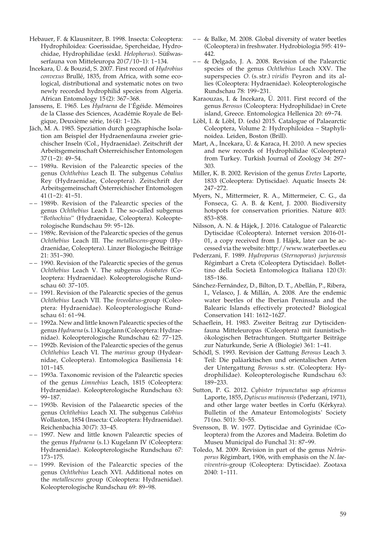- Hebauer, F. & Klausnitzer, B. 1998. Insecta: Coleoptera: Hydrophiloidea: Goerissidae, Spercheidae, Hydrochidae, Hydrophilidae (exkl. *Helophorus*). Süßwasserfauna von Mitteleuropa 20 (7/10-1): 1-134.
- Incekara, Ü. & Bouzid, S. 2007. First record of *Hydrobius convexus* Brullé, 1835, from Africa, with some ecological, distributional and systematic notes on two newly recorded hydrophilid species from Algeria. African Entomology 15 (2): 367-368.
- Janssens, E. 1965. Les *Hydraena* de l'Égéide. Mémoires de la Classe des Sciences, Académie Royale de Belgique, Deuxième série, 16 (4): 1-126.
- Jäch, M. A. 1985. Speziation durch geographische Isolation am Beispiel der Hydraenenfauna zweier griechischer Inseln (Col., Hydraenidae). Zeitschrift der Arbeitsgemeinschaft Österreichischer Entomologen  $37(1-2)$ : 49-54.
- – 1989a. Revision of the Palearctic species of the genus *Ochthebius* Leach II. The subgenus *Cobalius* Rey (Hydraenidae, Coleoptera). Zeitschrift der Arbeitsgemeinschaft Österreichischer Entomologen  $41(1-2): 41-51.$
- – 1989b. Revision of the Palearctic species of the genus *Ochthebius* Leach I. The so-called subgenus "*Bothochius*" (Hydraenidae, Coleoptera). Koleopterologische Rundschau 59: 95-126.
- – 1989c. Revision of the Palearctic species of the genus *Ochthebius* Leach III. The *metallescens*-group (Hydraenidae, Coleoptera). Linzer Biologische Beiträge 21: 351-390.
- – 1990. Revision of the Palearctic species of the genus *Ochthebius* Leach V. The subgenus *Asiobates* (Coleoptera: Hydraenidae). Koleopterologische Rundschau 60: 37-105.
- – 1991. Revision of the Palearctic species of the genus *Ochthebius* Leach VII. The *foveolatus*-group (Coleoptera: Hydraenidae). Koleopterologische Rundschau 61: 61-94.
- – 1992a. New and little known Palearctic species of the genus *Hydraena* (s. l.) Kugelann (Coleoptera: Hydraenidae). Koleopterologische Rundschau 62: 77-125.
- – 1992b. Revision of the Palearctic species of the genus *Ochthebius* Leach VI. The *marinus* group (Hydearnidae, Coleoptera). Entomologica Basiliensia 14: 101-145.
- – 1993a. Taxonomic revision of the Palearctic species of the genus *Limnebius* Leach, 1815 (Coleoptera: Hydraenidae). Koleopterologische Rundschau 63: 99-187.
- – 1993b. Revision of the Palaearctic species of the genus *Ochthebius* Leach XI. The subgenus *Calobius* Wollaston, 1854 (Insecta: Coleoptera: Hydraenidae). Reichenbachia 30 (7): 33-45.
- – 1997. New and little known Palearctic species of the genus *Hydraena* (s. l.) Kugelann IV (Coleoptera: Hydraenidae). Koleopterologische Rundschau 67: 173-175.
- – 1999. Revision of the Palearctic species of the genus *Ochthebius* Leach XVI. Additional notes on the *metallescens* group (Coleoptera: Hydraenidae). Koleopterologische Rundschau 69: 89-98.
- – & Balke, M. 2008. Global diversity of water beetles (Coleoptera) in freshwater. Hydrobiologia 595: 419- 442.
- – & Delgado, J. A. 2008. Revision of the Palearctic species of the genus *Ochthebius* Leach XXV. The superspecies *O.* (s. str.) *viridis* Peyron and its allies (Coleoptera: Hydraenidae). Koleopterologische Rundschau 78: 199-231.
- Karaouzas, I. & Incekara, Ü. 2011. First record of the genus *Berosus* (Coleoptera: Hydrophilidae) in Crete island, Greece. Entomologica Hellenica 20: 69-74.
- Löbl, I. & Löbl, D. (eds) 2015. Catalogue of Palaearctic Coleoptera, Volume 2: Hydrophiloidea – Staphylinoidea. Leiden, Boston (Brill).
- Mart, A., Incekara, Ü. & Karaca, H. 2010. A new species and new records of Hydrophilidae (Coleoptera) from Turkey. Turkish Journal of Zoology 34: 297- 303.
- Miller, K. B. 2002. Revision of the genus *Eretes* Laporte, 1833 (Coleoptera: Dytiscidae). Aquatic Insects 24: 247-272.
- Myers, N., Mittermeier, R. A., Mittermeier, C. G., da Fonseca, G. A. B. & Kent, J. 2000. Biodiversity hotspots for conservation priorities. Nature 403: 853-858.
- Nilsson, A. N. & Hájek, J. 2016. Catalogue of Palearctic Dytiscidae (Coleoptera). Internet version 2016-01- 01, a copy received from J. Hájek, later can be accessed via the website: [http://www.waterbeetles.eu](http://www2.emg.umu.se/projects/biginst/andersn/Cat_main.htm)
- Pederzani, F. 1989. *Hydroporus* (*Sternoporus*) *jurjurensis* Régimbart a Creta (Coleoptera Dytiscidae). Bollettino della Società Entomologica Italiana 120 (3): 185-186.
- Sánchez-Fernández, D., Bilton, D. T., Abellán, P., Ribera, I., Velasco, J. & Millán, A. 2008. Are the endemic water beetles of the Iberian Peninsula and the Balearic Islands effectively protected? Biological Conservation 141: 1612-1627.
- Schaeflein, H. 1983. Zweiter Beitrag zur Dytiscidenfauna Mitteleuropas (Coleoptera) mit faunistischökologischen Betrachtungen. Stuttgarter Beiträge zur Naturkunde, Serie A (Biologie) 361: 1-41.
- Schödl, S. 1993. Revision der Gattung *Berosus* Leach 3. Teil: Die paläarktischen und orientalischen Arten der Untergattung *Berosus* s. str. (Coleoptera: Hydrophilidae). Koleopterologische Rundschau 63: 189-233.
- Sutton, P. G. 2012. *Cybister tripunctatus* ssp *africanus* Laporte, 1855, *Dytiscus mutinensis* (Pederzani, 1971), and other large water beetles in Corfu (Kérkyra). Bulletin of the Amateur Entomologists' Society 71 (no. 501): 50-55.
- Svensson, B. W. 1977. Dytiscidae and Gyrinidae (Coleoptera) from the Azores and Madeira. Boletim do Museu Municipal do Funchal 31: 87-99.
- Toledo, M. 2009. Revision in part of the genus *Nebrioporus* Régimbart, 1906, with emphasis on the *N. laeviventris*-group (Coleoptera: Dytiscidae). Zootaxa 2040: 1-111.